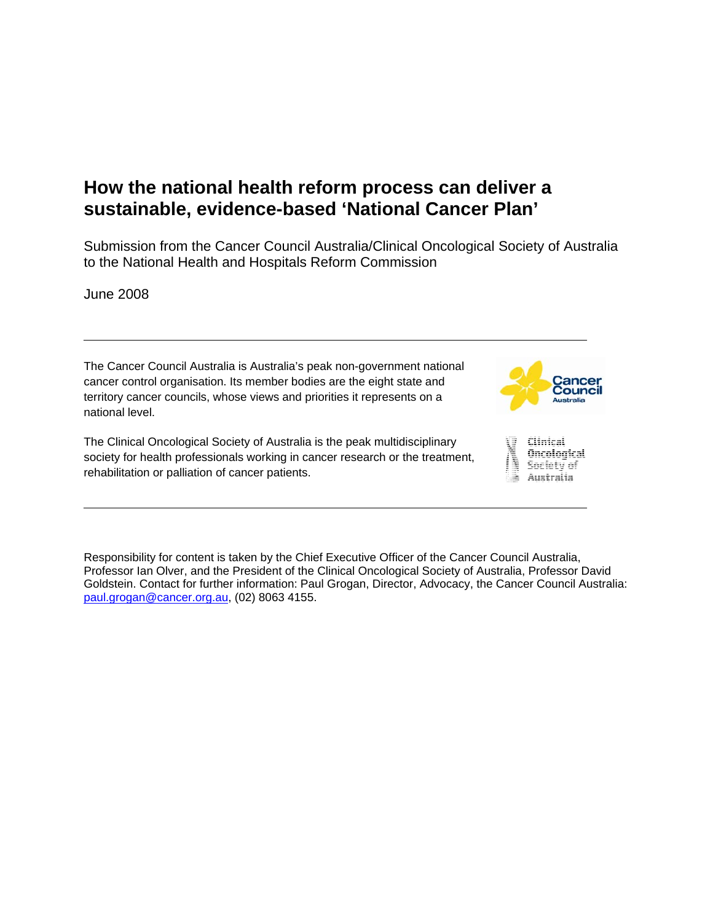# **How the national health reform process can deliver a sustainable, evidence-based 'National Cancer Plan'**

Submission from the Cancer Council Australia/Clinical Oncological Society of Australia to the National Health and Hospitals Reform Commission

June 2008

The Cancer Council Australia is Australia's peak non-government national cancer control organisation. Its member bodies are the eight state and territory cancer councils, whose views and priorities it represents on a national level.

The Clinical Oncological Society of Australia is the peak multidisciplinary society for health professionals working in cancer research or the treatment, rehabilitation or palliation of cancer patients.





Responsibility for content is taken by the Chief Executive Officer of the Cancer Council Australia, Professor Ian Olver, and the President of the Clinical Oncological Society of Australia, Professor David Goldstein. Contact for further information: Paul Grogan, Director, Advocacy, the Cancer Council Australia: paul.grogan@cancer.org.au, (02) 8063 4155.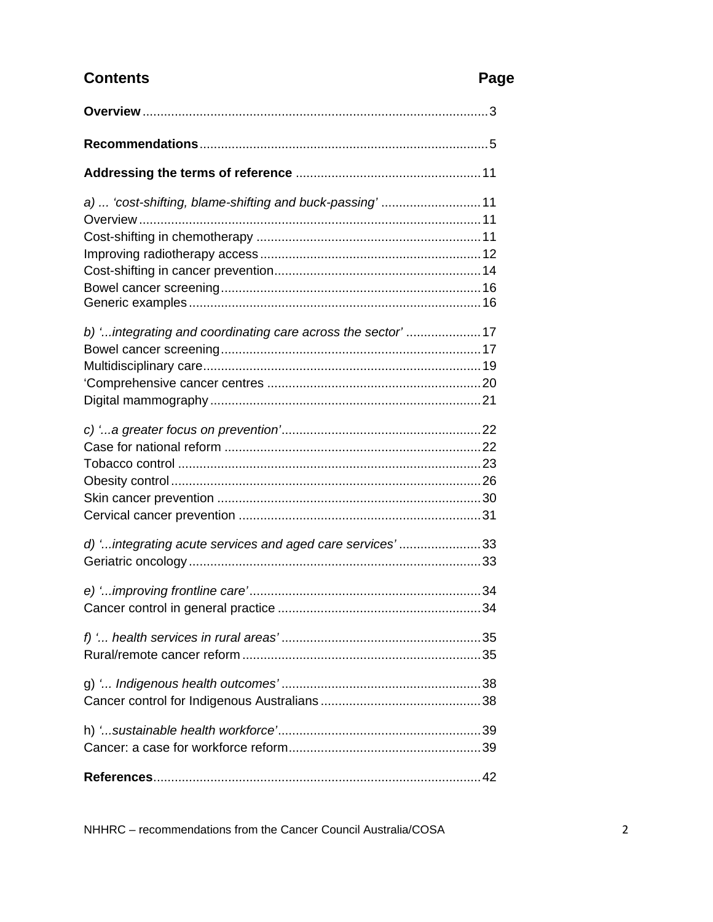# **Contents**

# Page

| a)  'cost-shifting, blame-shifting and buck-passing' 11    |  |
|------------------------------------------------------------|--|
|                                                            |  |
|                                                            |  |
|                                                            |  |
|                                                            |  |
|                                                            |  |
| b) 'integrating and coordinating care across the sector'17 |  |
|                                                            |  |
|                                                            |  |
|                                                            |  |
|                                                            |  |
|                                                            |  |
|                                                            |  |
|                                                            |  |
|                                                            |  |
|                                                            |  |
|                                                            |  |
| d) 'integrating acute services and aged care services'33   |  |
|                                                            |  |
|                                                            |  |
|                                                            |  |
|                                                            |  |
|                                                            |  |
|                                                            |  |
|                                                            |  |
|                                                            |  |
|                                                            |  |
|                                                            |  |

NHHRC - recommendations from the Cancer Council Australia/COSA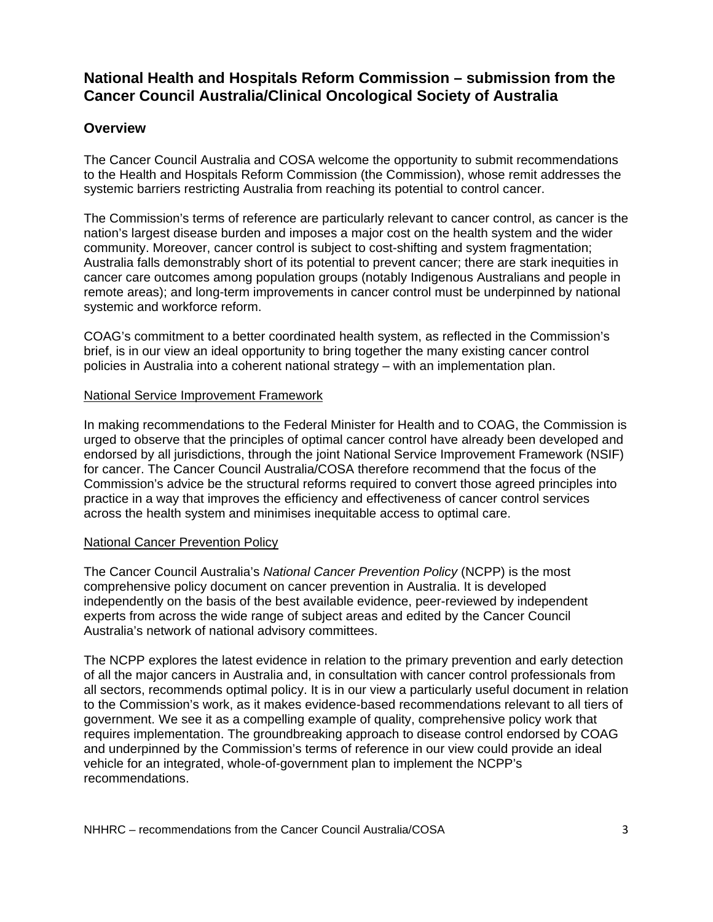# **National Health and Hospitals Reform Commission – submission from the Cancer Council Australia/Clinical Oncological Society of Australia**

# **Overview**

The Cancer Council Australia and COSA welcome the opportunity to submit recommendations to the Health and Hospitals Reform Commission (the Commission), whose remit addresses the systemic barriers restricting Australia from reaching its potential to control cancer.

The Commission's terms of reference are particularly relevant to cancer control, as cancer is the nation's largest disease burden and imposes a major cost on the health system and the wider community. Moreover, cancer control is subject to cost-shifting and system fragmentation; Australia falls demonstrably short of its potential to prevent cancer; there are stark inequities in cancer care outcomes among population groups (notably Indigenous Australians and people in remote areas); and long-term improvements in cancer control must be underpinned by national systemic and workforce reform.

COAG's commitment to a better coordinated health system, as reflected in the Commission's brief, is in our view an ideal opportunity to bring together the many existing cancer control policies in Australia into a coherent national strategy – with an implementation plan.

#### National Service Improvement Framework

In making recommendations to the Federal Minister for Health and to COAG, the Commission is urged to observe that the principles of optimal cancer control have already been developed and endorsed by all jurisdictions, through the joint National Service Improvement Framework (NSIF) for cancer. The Cancer Council Australia/COSA therefore recommend that the focus of the Commission's advice be the structural reforms required to convert those agreed principles into practice in a way that improves the efficiency and effectiveness of cancer control services across the health system and minimises inequitable access to optimal care.

### National Cancer Prevention Policy

The Cancer Council Australia's *National Cancer Prevention Policy* (NCPP) is the most comprehensive policy document on cancer prevention in Australia. It is developed independently on the basis of the best available evidence, peer-reviewed by independent experts from across the wide range of subject areas and edited by the Cancer Council Australia's network of national advisory committees.

The NCPP explores the latest evidence in relation to the primary prevention and early detection of all the major cancers in Australia and, in consultation with cancer control professionals from all sectors, recommends optimal policy. It is in our view a particularly useful document in relation to the Commission's work, as it makes evidence-based recommendations relevant to all tiers of government. We see it as a compelling example of quality, comprehensive policy work that requires implementation. The groundbreaking approach to disease control endorsed by COAG and underpinned by the Commission's terms of reference in our view could provide an ideal vehicle for an integrated, whole-of-government plan to implement the NCPP's recommendations.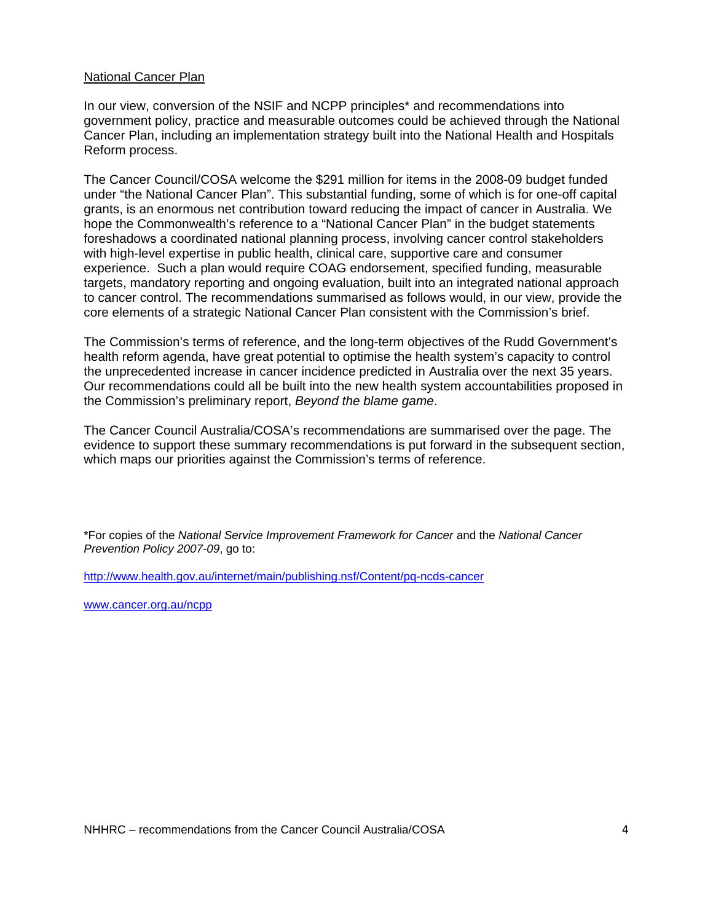#### National Cancer Plan

In our view, conversion of the NSIF and NCPP principles\* and recommendations into government policy, practice and measurable outcomes could be achieved through the National Cancer Plan, including an implementation strategy built into the National Health and Hospitals Reform process.

The Cancer Council/COSA welcome the \$291 million for items in the 2008-09 budget funded under "the National Cancer Plan". This substantial funding, some of which is for one-off capital grants, is an enormous net contribution toward reducing the impact of cancer in Australia. We hope the Commonwealth's reference to a "National Cancer Plan" in the budget statements foreshadows a coordinated national planning process, involving cancer control stakeholders with high-level expertise in public health, clinical care, supportive care and consumer experience. Such a plan would require COAG endorsement, specified funding, measurable targets, mandatory reporting and ongoing evaluation, built into an integrated national approach to cancer control. The recommendations summarised as follows would, in our view, provide the core elements of a strategic National Cancer Plan consistent with the Commission's brief.

The Commission's terms of reference, and the long-term objectives of the Rudd Government's health reform agenda, have great potential to optimise the health system's capacity to control the unprecedented increase in cancer incidence predicted in Australia over the next 35 years. Our recommendations could all be built into the new health system accountabilities proposed in the Commission's preliminary report, *Beyond the blame game*.

The Cancer Council Australia/COSA's recommendations are summarised over the page. The evidence to support these summary recommendations is put forward in the subsequent section, which maps our priorities against the Commission's terms of reference.

\*For copies of the *National Service Improvement Framework for Cancer* and the *National Cancer Prevention Policy 2007-09*, go to:

http://www.health.gov.au/internet/main/publishing.nsf/Content/pq-ncds-cancer

www.cancer.org.au/ncpp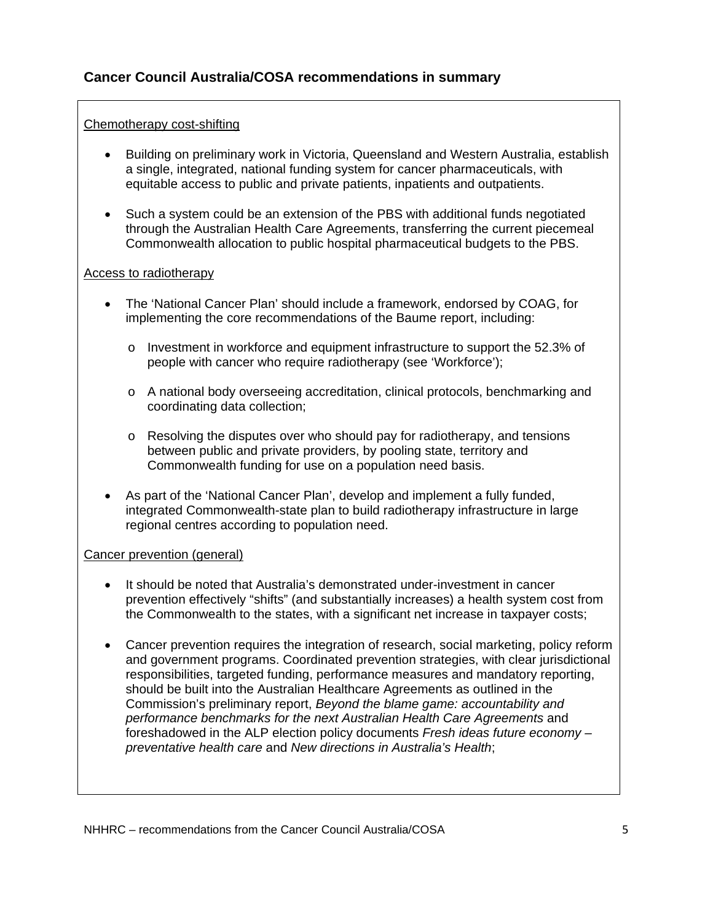# **Cancer Council Australia/COSA recommendations in summary**

### Chemotherapy cost-shifting

- Building on preliminary work in Victoria, Queensland and Western Australia, establish a single, integrated, national funding system for cancer pharmaceuticals, with equitable access to public and private patients, inpatients and outpatients.
- Such a system could be an extension of the PBS with additional funds negotiated through the Australian Health Care Agreements, transferring the current piecemeal Commonwealth allocation to public hospital pharmaceutical budgets to the PBS.

#### Access to radiotherapy

- The 'National Cancer Plan' should include a framework, endorsed by COAG, for implementing the core recommendations of the Baume report, including:
	- o Investment in workforce and equipment infrastructure to support the 52.3% of people with cancer who require radiotherapy (see 'Workforce');
	- o A national body overseeing accreditation, clinical protocols, benchmarking and coordinating data collection;
	- $\circ$  Resolving the disputes over who should pay for radiotherapy, and tensions between public and private providers, by pooling state, territory and Commonwealth funding for use on a population need basis.
- As part of the 'National Cancer Plan', develop and implement a fully funded, integrated Commonwealth-state plan to build radiotherapy infrastructure in large regional centres according to population need.

### Cancer prevention (general)

- It should be noted that Australia's demonstrated under-investment in cancer prevention effectively "shifts" (and substantially increases) a health system cost from the Commonwealth to the states, with a significant net increase in taxpayer costs;
- Cancer prevention requires the integration of research, social marketing, policy reform and government programs. Coordinated prevention strategies, with clear jurisdictional responsibilities, targeted funding, performance measures and mandatory reporting, should be built into the Australian Healthcare Agreements as outlined in the Commission's preliminary report, *Beyond the blame game: accountability and performance benchmarks for the next Australian Health Care Agreements* and foreshadowed in the ALP election policy documents *Fresh ideas future economy – preventative health care* and *New directions in Australia's Health*;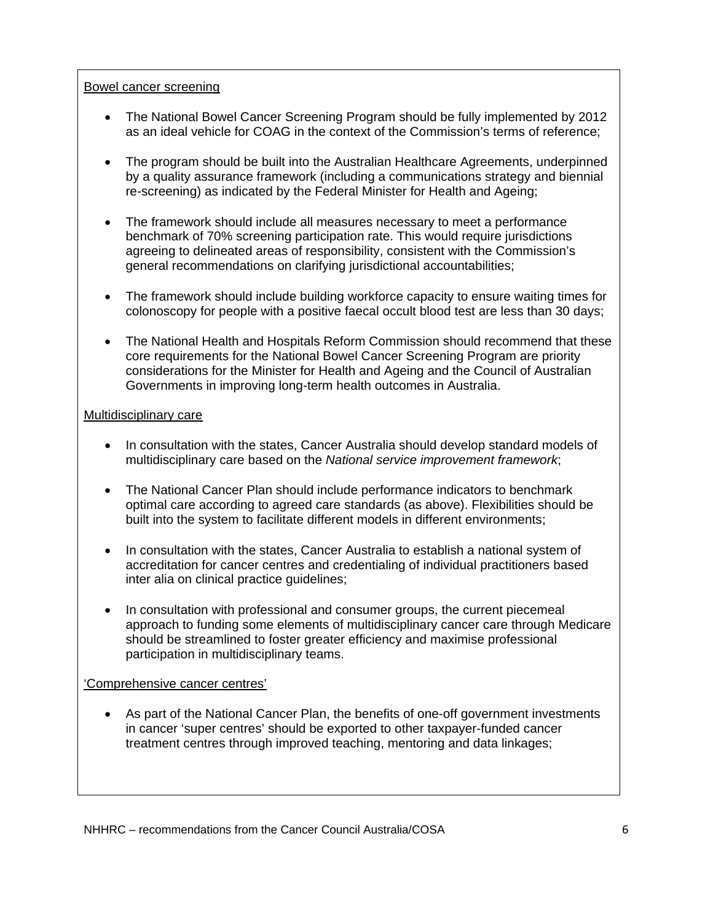#### Bowel cancer screening

- The National Bowel Cancer Screening Program should be fully implemented by 2012 as an ideal vehicle for COAG in the context of the Commission's terms of reference;
- The program should be built into the Australian Healthcare Agreements, underpinned by a quality assurance framework (including a communications strategy and biennial re-screening) as indicated by the Federal Minister for Health and Ageing;
- The framework should include all measures necessary to meet a performance benchmark of 70% screening participation rate. This would require jurisdictions agreeing to delineated areas of responsibility, consistent with the Commission's general recommendations on clarifying jurisdictional accountabilities;
- The framework should include building workforce capacity to ensure waiting times for colonoscopy for people with a positive faecal occult blood test are less than 30 days;
- The National Health and Hospitals Reform Commission should recommend that these core requirements for the National Bowel Cancer Screening Program are priority considerations for the Minister for Health and Ageing and the Council of Australian Governments in improving long-term health outcomes in Australia.

### Multidisciplinary care

- In consultation with the states, Cancer Australia should develop standard models of multidisciplinary care based on the *National service improvement framework*;
- The National Cancer Plan should include performance indicators to benchmark optimal care according to agreed care standards (as above). Flexibilities should be built into the system to facilitate different models in different environments;
- In consultation with the states, Cancer Australia to establish a national system of accreditation for cancer centres and credentialing of individual practitioners based inter alia on clinical practice guidelines;
- In consultation with professional and consumer groups, the current piecemeal approach to funding some elements of multidisciplinary cancer care through Medicare should be streamlined to foster greater efficiency and maximise professional participation in multidisciplinary teams.

### 'Comprehensive cancer centres'

• As part of the National Cancer Plan, the benefits of one-off government investments in cancer 'super centres' should be exported to other taxpayer-funded cancer treatment centres through improved teaching, mentoring and data linkages;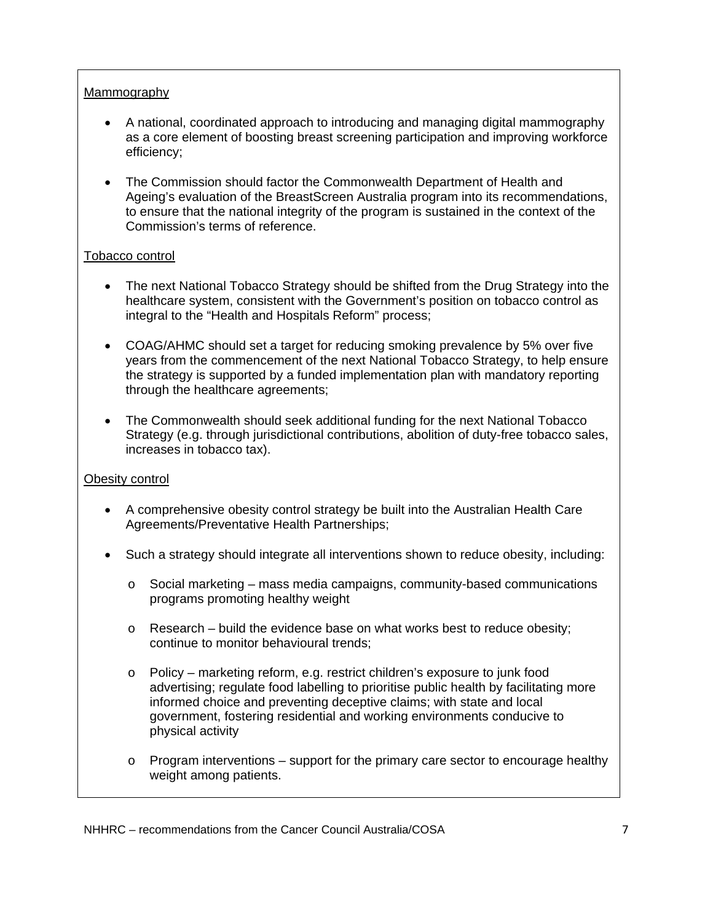### Mammography

- A national, coordinated approach to introducing and managing digital mammography as a core element of boosting breast screening participation and improving workforce efficiency;
- The Commission should factor the Commonwealth Department of Health and Ageing's evaluation of the BreastScreen Australia program into its recommendations, to ensure that the national integrity of the program is sustained in the context of the Commission's terms of reference.

### Tobacco control

- The next National Tobacco Strategy should be shifted from the Drug Strategy into the healthcare system, consistent with the Government's position on tobacco control as integral to the "Health and Hospitals Reform" process;
- COAG/AHMC should set a target for reducing smoking prevalence by 5% over five years from the commencement of the next National Tobacco Strategy, to help ensure the strategy is supported by a funded implementation plan with mandatory reporting through the healthcare agreements;
- The Commonwealth should seek additional funding for the next National Tobacco Strategy (e.g. through jurisdictional contributions, abolition of duty-free tobacco sales, increases in tobacco tax).

### Obesity control

- A comprehensive obesity control strategy be built into the Australian Health Care Agreements/Preventative Health Partnerships;
- Such a strategy should integrate all interventions shown to reduce obesity, including:
	- $\circ$  Social marketing mass media campaigns, community-based communications programs promoting healthy weight
	- $\circ$  Research build the evidence base on what works best to reduce obesity; continue to monitor behavioural trends;
	- o Policy marketing reform, e.g. restrict children's exposure to junk food advertising; regulate food labelling to prioritise public health by facilitating more informed choice and preventing deceptive claims; with state and local government, fostering residential and working environments conducive to physical activity
	- $\circ$  Program interventions support for the primary care sector to encourage healthy weight among patients.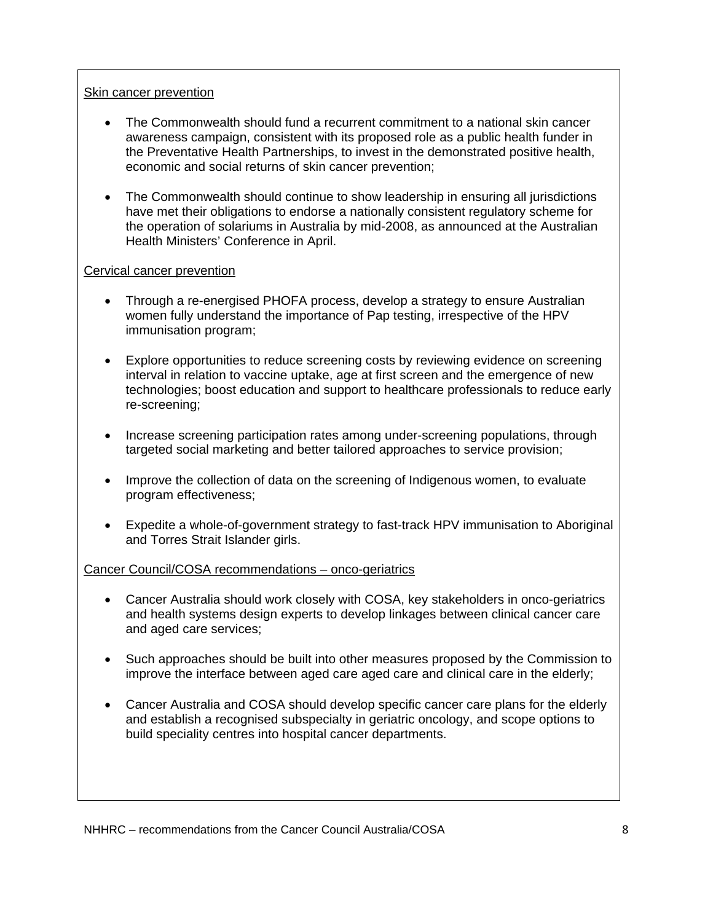### Skin cancer prevention

- The Commonwealth should fund a recurrent commitment to a national skin cancer awareness campaign, consistent with its proposed role as a public health funder in the Preventative Health Partnerships, to invest in the demonstrated positive health, economic and social returns of skin cancer prevention;
- The Commonwealth should continue to show leadership in ensuring all jurisdictions have met their obligations to endorse a nationally consistent regulatory scheme for the operation of solariums in Australia by mid-2008, as announced at the Australian Health Ministers' Conference in April.

### Cervical cancer prevention

- Through a re-energised PHOFA process, develop a strategy to ensure Australian women fully understand the importance of Pap testing, irrespective of the HPV immunisation program;
- Explore opportunities to reduce screening costs by reviewing evidence on screening interval in relation to vaccine uptake, age at first screen and the emergence of new technologies; boost education and support to healthcare professionals to reduce early re-screening;
- Increase screening participation rates among under-screening populations, through targeted social marketing and better tailored approaches to service provision;
- Improve the collection of data on the screening of Indigenous women, to evaluate program effectiveness;
- Expedite a whole-of-government strategy to fast-track HPV immunisation to Aboriginal and Torres Strait Islander girls.

### Cancer Council/COSA recommendations – onco-geriatrics

- Cancer Australia should work closely with COSA, key stakeholders in onco-geriatrics and health systems design experts to develop linkages between clinical cancer care and aged care services;
- Such approaches should be built into other measures proposed by the Commission to improve the interface between aged care aged care and clinical care in the elderly;
- Cancer Australia and COSA should develop specific cancer care plans for the elderly and establish a recognised subspecialty in geriatric oncology, and scope options to build speciality centres into hospital cancer departments.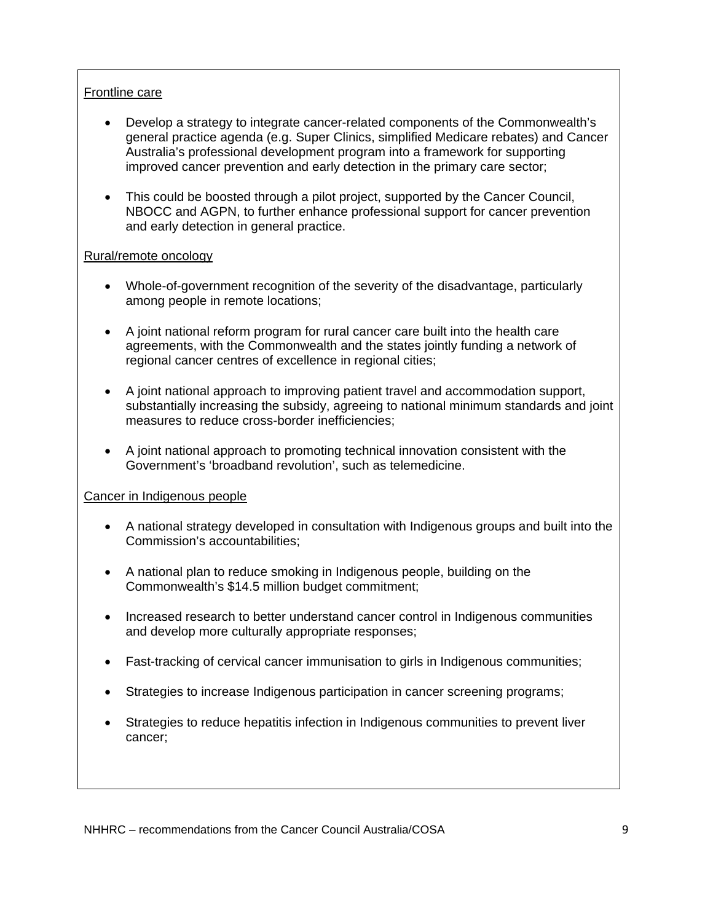### Frontline care

- Develop a strategy to integrate cancer-related components of the Commonwealth's general practice agenda (e.g. Super Clinics, simplified Medicare rebates) and Cancer Australia's professional development program into a framework for supporting improved cancer prevention and early detection in the primary care sector;
- This could be boosted through a pilot project, supported by the Cancer Council, NBOCC and AGPN, to further enhance professional support for cancer prevention and early detection in general practice.

### Rural/remote oncology

- Whole-of-government recognition of the severity of the disadvantage, particularly among people in remote locations;
- A joint national reform program for rural cancer care built into the health care agreements, with the Commonwealth and the states jointly funding a network of regional cancer centres of excellence in regional cities;
- A joint national approach to improving patient travel and accommodation support, substantially increasing the subsidy, agreeing to national minimum standards and joint measures to reduce cross-border inefficiencies;
- A joint national approach to promoting technical innovation consistent with the Government's 'broadband revolution', such as telemedicine.

### Cancer in Indigenous people

- A national strategy developed in consultation with Indigenous groups and built into the Commission's accountabilities;
- A national plan to reduce smoking in Indigenous people, building on the Commonwealth's \$14.5 million budget commitment;
- Increased research to better understand cancer control in Indigenous communities and develop more culturally appropriate responses;
- Fast-tracking of cervical cancer immunisation to girls in Indigenous communities;
- Strategies to increase Indigenous participation in cancer screening programs;
- Strategies to reduce hepatitis infection in Indigenous communities to prevent liver cancer;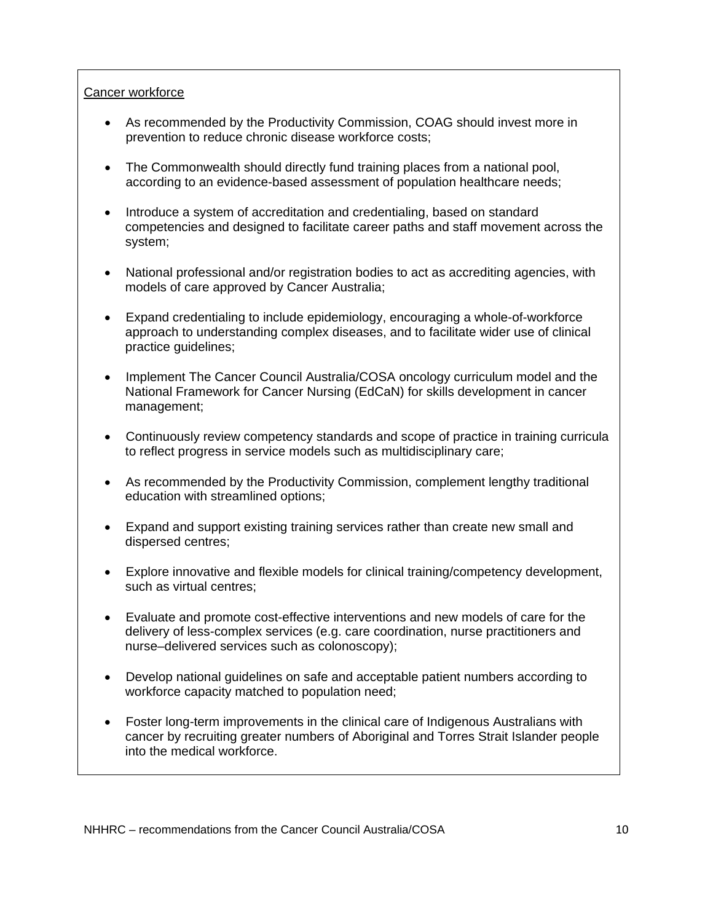### Cancer workforce

- As recommended by the Productivity Commission, COAG should invest more in prevention to reduce chronic disease workforce costs;
- The Commonwealth should directly fund training places from a national pool, according to an evidence-based assessment of population healthcare needs;
- Introduce a system of accreditation and credentialing, based on standard competencies and designed to facilitate career paths and staff movement across the system;
- National professional and/or registration bodies to act as accrediting agencies, with models of care approved by Cancer Australia;
- Expand credentialing to include epidemiology, encouraging a whole-of-workforce approach to understanding complex diseases, and to facilitate wider use of clinical practice guidelines;
- Implement The Cancer Council Australia/COSA oncology curriculum model and the National Framework for Cancer Nursing (EdCaN) for skills development in cancer management;
- Continuously review competency standards and scope of practice in training curricula to reflect progress in service models such as multidisciplinary care;
- As recommended by the Productivity Commission, complement lengthy traditional education with streamlined options;
- Expand and support existing training services rather than create new small and dispersed centres;
- Explore innovative and flexible models for clinical training/competency development, such as virtual centres;
- Evaluate and promote cost-effective interventions and new models of care for the delivery of less-complex services (e.g. care coordination, nurse practitioners and nurse–delivered services such as colonoscopy);
- Develop national guidelines on safe and acceptable patient numbers according to workforce capacity matched to population need;
- Foster long-term improvements in the clinical care of Indigenous Australians with cancer by recruiting greater numbers of Aboriginal and Torres Strait Islander people into the medical workforce.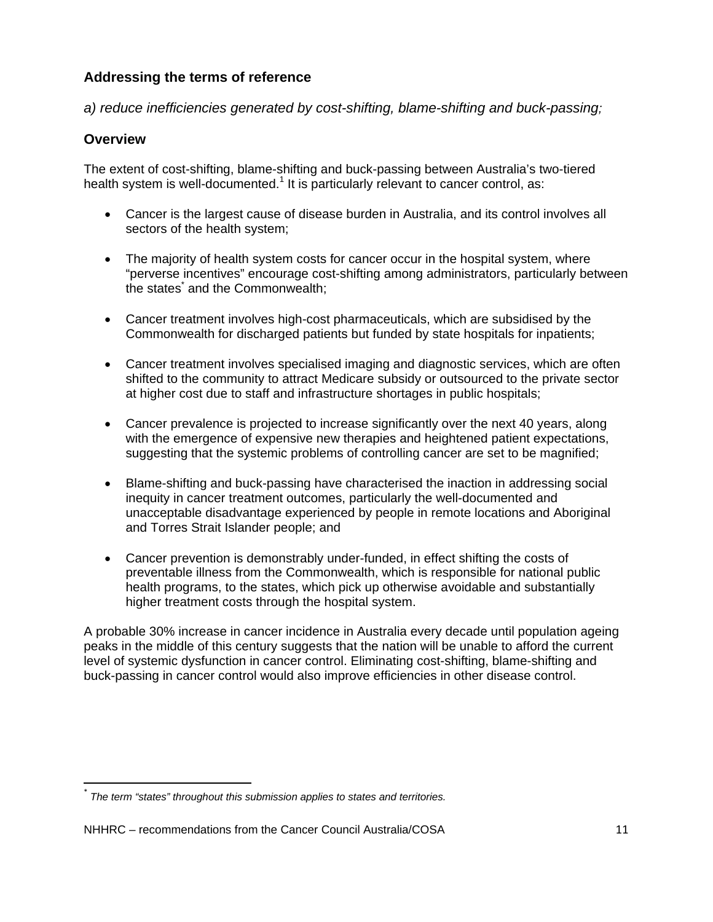# **Addressing the terms of reference**

*a) reduce inefficiencies generated by cost-shifting, blame-shifting and buck-passing;* 

## **Overview**

The extent of cost-shifting, blame-shifting and buck-passing between Australia's two-tiered health system is well-documented.<sup>1</sup> It is particularly relevant to cancer control, as:

- Cancer is the largest cause of disease burden in Australia, and its control involves all sectors of the health system;
- The majority of health system costs for cancer occur in the hospital system, where "perverse incentives" encourage cost-shifting among administrators, particularly between the states<sup>\*</sup> and the Commonwealth;
- Cancer treatment involves high-cost pharmaceuticals, which are subsidised by the Commonwealth for discharged patients but funded by state hospitals for inpatients;
- Cancer treatment involves specialised imaging and diagnostic services, which are often shifted to the community to attract Medicare subsidy or outsourced to the private sector at higher cost due to staff and infrastructure shortages in public hospitals;
- Cancer prevalence is projected to increase significantly over the next 40 years, along with the emergence of expensive new therapies and heightened patient expectations, suggesting that the systemic problems of controlling cancer are set to be magnified;
- Blame-shifting and buck-passing have characterised the inaction in addressing social inequity in cancer treatment outcomes, particularly the well-documented and unacceptable disadvantage experienced by people in remote locations and Aboriginal and Torres Strait Islander people; and
- Cancer prevention is demonstrably under-funded, in effect shifting the costs of preventable illness from the Commonwealth, which is responsible for national public health programs, to the states, which pick up otherwise avoidable and substantially higher treatment costs through the hospital system.

A probable 30% increase in cancer incidence in Australia every decade until population ageing peaks in the middle of this century suggests that the nation will be unable to afford the current level of systemic dysfunction in cancer control. Eliminating cost-shifting, blame-shifting and buck-passing in cancer control would also improve efficiencies in other disease control.

<sup>\*</sup> *The term "states" throughout this submission applies to states and territories.*

NHHRC – recommendations from the Cancer Council Australia/COSA  $11$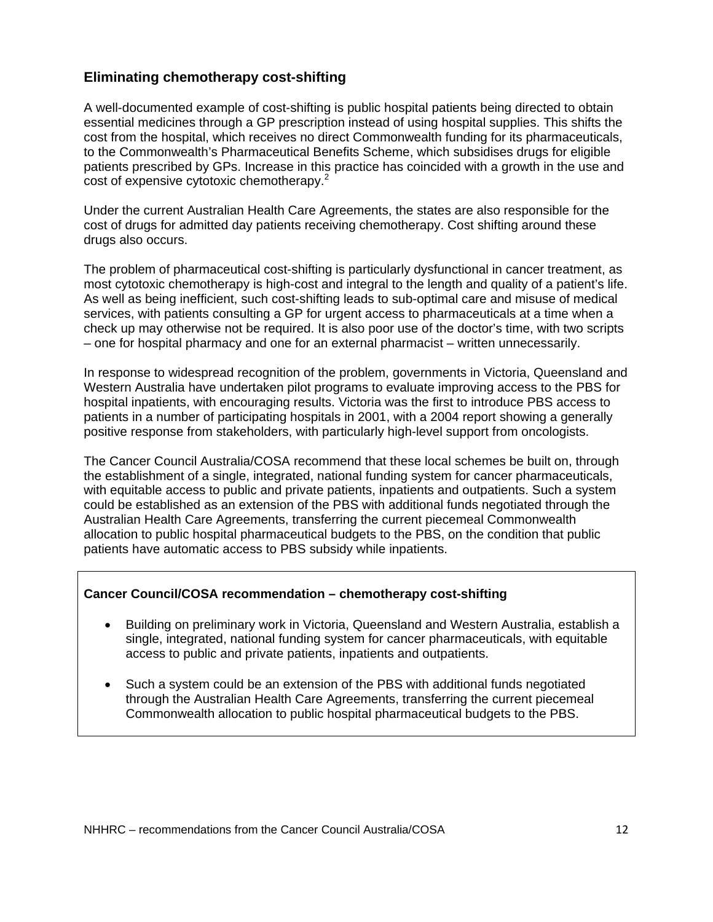## **Eliminating chemotherapy cost-shifting**

A well-documented example of cost-shifting is public hospital patients being directed to obtain essential medicines through a GP prescription instead of using hospital supplies. This shifts the cost from the hospital, which receives no direct Commonwealth funding for its pharmaceuticals, to the Commonwealth's Pharmaceutical Benefits Scheme, which subsidises drugs for eligible patients prescribed by GPs. Increase in this practice has coincided with a growth in the use and cost of expensive cytotoxic chemotherapy.<sup>2</sup>

Under the current Australian Health Care Agreements, the states are also responsible for the cost of drugs for admitted day patients receiving chemotherapy. Cost shifting around these drugs also occurs.

The problem of pharmaceutical cost-shifting is particularly dysfunctional in cancer treatment, as most cytotoxic chemotherapy is high-cost and integral to the length and quality of a patient's life. As well as being inefficient, such cost-shifting leads to sub-optimal care and misuse of medical services, with patients consulting a GP for urgent access to pharmaceuticals at a time when a check up may otherwise not be required. It is also poor use of the doctor's time, with two scripts – one for hospital pharmacy and one for an external pharmacist – written unnecessarily.

In response to widespread recognition of the problem, governments in Victoria, Queensland and Western Australia have undertaken pilot programs to evaluate improving access to the PBS for hospital inpatients, with encouraging results. Victoria was the first to introduce PBS access to patients in a number of participating hospitals in 2001, with a 2004 report showing a generally positive response from stakeholders, with particularly high-level support from oncologists.

The Cancer Council Australia/COSA recommend that these local schemes be built on, through the establishment of a single, integrated, national funding system for cancer pharmaceuticals, with equitable access to public and private patients, inpatients and outpatients. Such a system could be established as an extension of the PBS with additional funds negotiated through the Australian Health Care Agreements, transferring the current piecemeal Commonwealth allocation to public hospital pharmaceutical budgets to the PBS, on the condition that public patients have automatic access to PBS subsidy while inpatients.

### **Cancer Council/COSA recommendation – chemotherapy cost-shifting**

- Building on preliminary work in Victoria, Queensland and Western Australia, establish a single, integrated, national funding system for cancer pharmaceuticals, with equitable access to public and private patients, inpatients and outpatients.
- Such a system could be an extension of the PBS with additional funds negotiated through the Australian Health Care Agreements, transferring the current piecemeal Commonwealth allocation to public hospital pharmaceutical budgets to the PBS.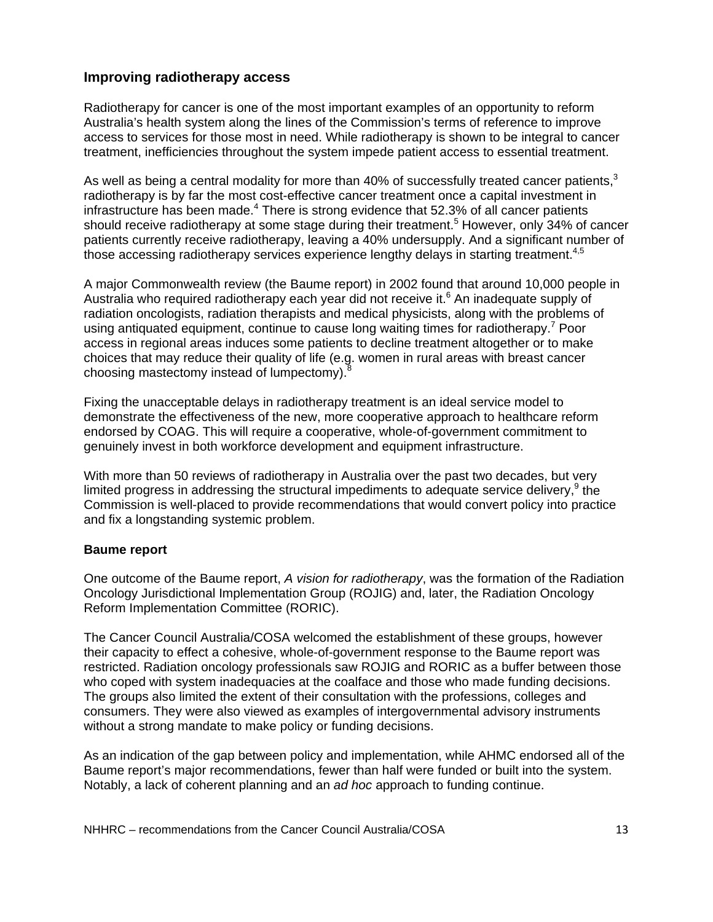### **Improving radiotherapy access**

Radiotherapy for cancer is one of the most important examples of an opportunity to reform Australia's health system along the lines of the Commission's terms of reference to improve access to services for those most in need. While radiotherapy is shown to be integral to cancer treatment, inefficiencies throughout the system impede patient access to essential treatment.

As well as being a central modality for more than 40% of successfully treated cancer patients, $3$ radiotherapy is by far the most cost-effective cancer treatment once a capital investment in infrastructure has been made. $4$  There is strong evidence that 52.3% of all cancer patients should receive radiotherapy at some stage during their treatment.<sup>5</sup> However, only 34% of cancer patients currently receive radiotherapy, leaving a 40% undersupply. And a significant number of those accessing radiotherapy services experience lengthy delays in starting treatment.<sup>4,5</sup>

A major Commonwealth review (the Baume report) in 2002 found that around 10,000 people in Australia who required radiotherapy each year did not receive it.<sup>6</sup> An inadequate supply of radiation oncologists, radiation therapists and medical physicists, along with the problems of using antiquated equipment, continue to cause long waiting times for radiotherapy.<sup>7</sup> Poor access in regional areas induces some patients to decline treatment altogether or to make choices that may reduce their quality of life (e.g. women in rural areas with breast cancer choosing mastectomy instead of lumpectomy).

Fixing the unacceptable delays in radiotherapy treatment is an ideal service model to demonstrate the effectiveness of the new, more cooperative approach to healthcare reform endorsed by COAG. This will require a cooperative, whole-of-government commitment to genuinely invest in both workforce development and equipment infrastructure.

With more than 50 reviews of radiotherapy in Australia over the past two decades, but very limited progress in addressing the structural impediments to adequate service delivery, $9$  the Commission is well-placed to provide recommendations that would convert policy into practice and fix a longstanding systemic problem.

### **Baume report**

One outcome of the Baume report, *A vision for radiotherapy*, was the formation of the Radiation Oncology Jurisdictional Implementation Group (ROJIG) and, later, the Radiation Oncology Reform Implementation Committee (RORIC).

The Cancer Council Australia/COSA welcomed the establishment of these groups, however their capacity to effect a cohesive, whole-of-government response to the Baume report was restricted. Radiation oncology professionals saw ROJIG and RORIC as a buffer between those who coped with system inadequacies at the coalface and those who made funding decisions. The groups also limited the extent of their consultation with the professions, colleges and consumers. They were also viewed as examples of intergovernmental advisory instruments without a strong mandate to make policy or funding decisions.

As an indication of the gap between policy and implementation, while AHMC endorsed all of the Baume report's major recommendations, fewer than half were funded or built into the system. Notably, a lack of coherent planning and an *ad hoc* approach to funding continue.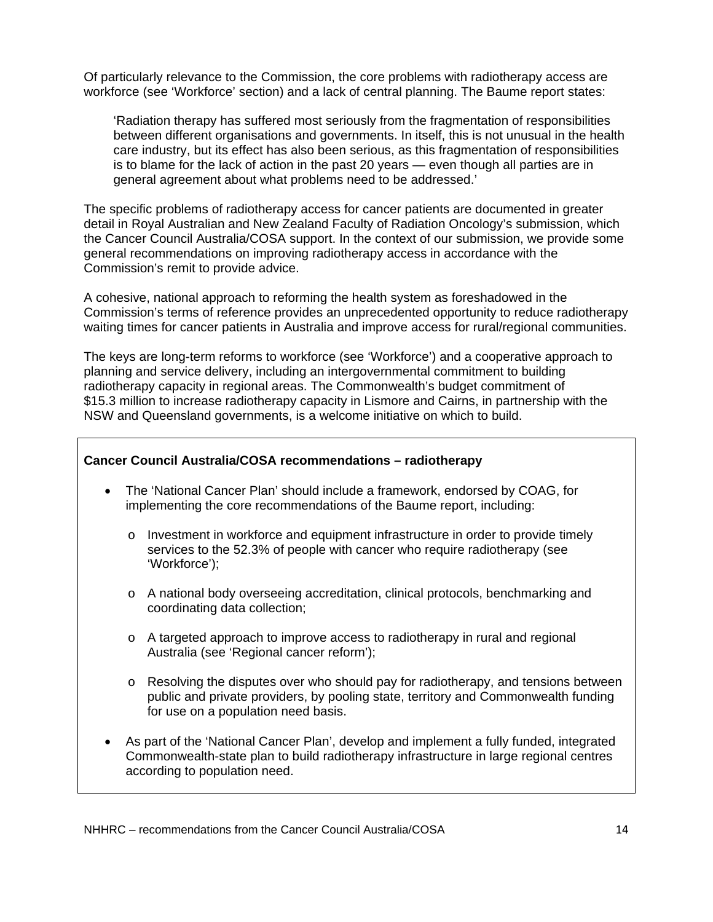Of particularly relevance to the Commission, the core problems with radiotherapy access are workforce (see 'Workforce' section) and a lack of central planning. The Baume report states:

'Radiation therapy has suffered most seriously from the fragmentation of responsibilities between different organisations and governments. In itself, this is not unusual in the health care industry, but its effect has also been serious, as this fragmentation of responsibilities is to blame for the lack of action in the past 20 years — even though all parties are in general agreement about what problems need to be addressed.'

The specific problems of radiotherapy access for cancer patients are documented in greater detail in Royal Australian and New Zealand Faculty of Radiation Oncology's submission, which the Cancer Council Australia/COSA support. In the context of our submission, we provide some general recommendations on improving radiotherapy access in accordance with the Commission's remit to provide advice.

A cohesive, national approach to reforming the health system as foreshadowed in the Commission's terms of reference provides an unprecedented opportunity to reduce radiotherapy waiting times for cancer patients in Australia and improve access for rural/regional communities.

The keys are long-term reforms to workforce (see 'Workforce') and a cooperative approach to planning and service delivery, including an intergovernmental commitment to building radiotherapy capacity in regional areas. The Commonwealth's budget commitment of \$15.3 million to increase radiotherapy capacity in Lismore and Cairns, in partnership with the NSW and Queensland governments, is a welcome initiative on which to build.

#### **Cancer Council Australia/COSA recommendations – radiotherapy**

- The 'National Cancer Plan' should include a framework, endorsed by COAG, for implementing the core recommendations of the Baume report, including:
	- $\circ$  Investment in workforce and equipment infrastructure in order to provide timely services to the 52.3% of people with cancer who require radiotherapy (see 'Workforce');
	- o A national body overseeing accreditation, clinical protocols, benchmarking and coordinating data collection;
	- o A targeted approach to improve access to radiotherapy in rural and regional Australia (see 'Regional cancer reform');
	- $\circ$  Resolving the disputes over who should pay for radiotherapy, and tensions between public and private providers, by pooling state, territory and Commonwealth funding for use on a population need basis.
- As part of the 'National Cancer Plan', develop and implement a fully funded, integrated Commonwealth-state plan to build radiotherapy infrastructure in large regional centres according to population need.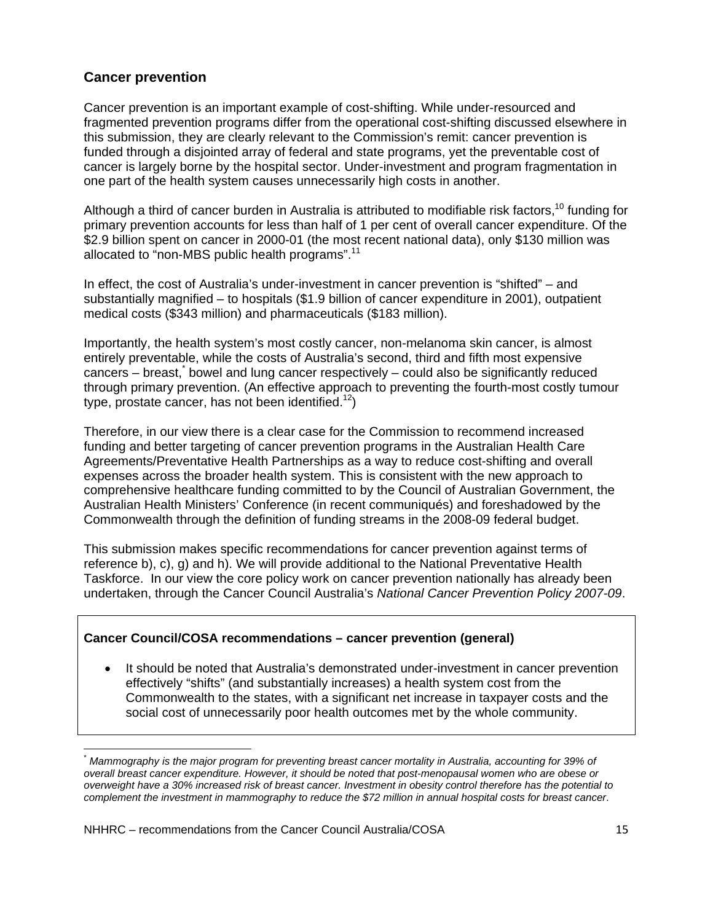### **Cancer prevention**

Cancer prevention is an important example of cost-shifting. While under-resourced and fragmented prevention programs differ from the operational cost-shifting discussed elsewhere in this submission, they are clearly relevant to the Commission's remit: cancer prevention is funded through a disjointed array of federal and state programs, yet the preventable cost of cancer is largely borne by the hospital sector. Under-investment and program fragmentation in one part of the health system causes unnecessarily high costs in another.

Although a third of cancer burden in Australia is attributed to modifiable risk factors,<sup>10</sup> funding for primary prevention accounts for less than half of 1 per cent of overall cancer expenditure. Of the \$2.9 billion spent on cancer in 2000-01 (the most recent national data), only \$130 million was allocated to "non-MBS public health programs".<sup>11</sup>

In effect, the cost of Australia's under-investment in cancer prevention is "shifted" – and substantially magnified – to hospitals (\$1.9 billion of cancer expenditure in 2001), outpatient medical costs (\$343 million) and pharmaceuticals (\$183 million).

Importantly, the health system's most costly cancer, non-melanoma skin cancer, is almost entirely preventable, while the costs of Australia's second, third and fifth most expensive cancers – breast,<sup>\*</sup> bowel and lung cancer respectively – could also be significantly reduced through primary prevention. (An effective approach to preventing the fourth-most costly tumour type, prostate cancer, has not been identified.<sup>12</sup>)

Therefore, in our view there is a clear case for the Commission to recommend increased funding and better targeting of cancer prevention programs in the Australian Health Care Agreements/Preventative Health Partnerships as a way to reduce cost-shifting and overall expenses across the broader health system. This is consistent with the new approach to comprehensive healthcare funding committed to by the Council of Australian Government, the Australian Health Ministers' Conference (in recent communiqués) and foreshadowed by the Commonwealth through the definition of funding streams in the 2008-09 federal budget.

This submission makes specific recommendations for cancer prevention against terms of reference b), c), g) and h). We will provide additional to the National Preventative Health Taskforce. In our view the core policy work on cancer prevention nationally has already been undertaken, through the Cancer Council Australia's *National Cancer Prevention Policy 2007-09*.

### **Cancer Council/COSA recommendations – cancer prevention (general)**

It should be noted that Australia's demonstrated under-investment in cancer prevention effectively "shifts" (and substantially increases) a health system cost from the Commonwealth to the states, with a significant net increase in taxpayer costs and the social cost of unnecessarily poor health outcomes met by the whole community.

 $\frac{1}{2}$  . The contract of the contract of the contract of  $\frac{1}{2}$  ,  $\frac{1}{2}$  ,  $\frac{1}{2}$  ,  $\frac{1}{2}$  ,  $\frac{1}{2}$  ,  $\frac{1}{2}$  ,  $\frac{1}{2}$  ,  $\frac{1}{2}$  ,  $\frac{1}{2}$  ,  $\frac{1}{2}$  ,  $\frac{1}{2}$  ,  $\frac{1}{2}$  ,  $\frac{1}{2}$  ,  $\frac{1$ \* *Mammography is the major program for preventing breast cancer mortality in Australia, accounting for 39% of overall breast cancer expenditure. However, it should be noted that post-menopausal women who are obese or overweight have a 30% increased risk of breast cancer. Investment in obesity control therefore has the potential to complement the investment in mammography to reduce the \$72 million in annual hospital costs for breast cancer*.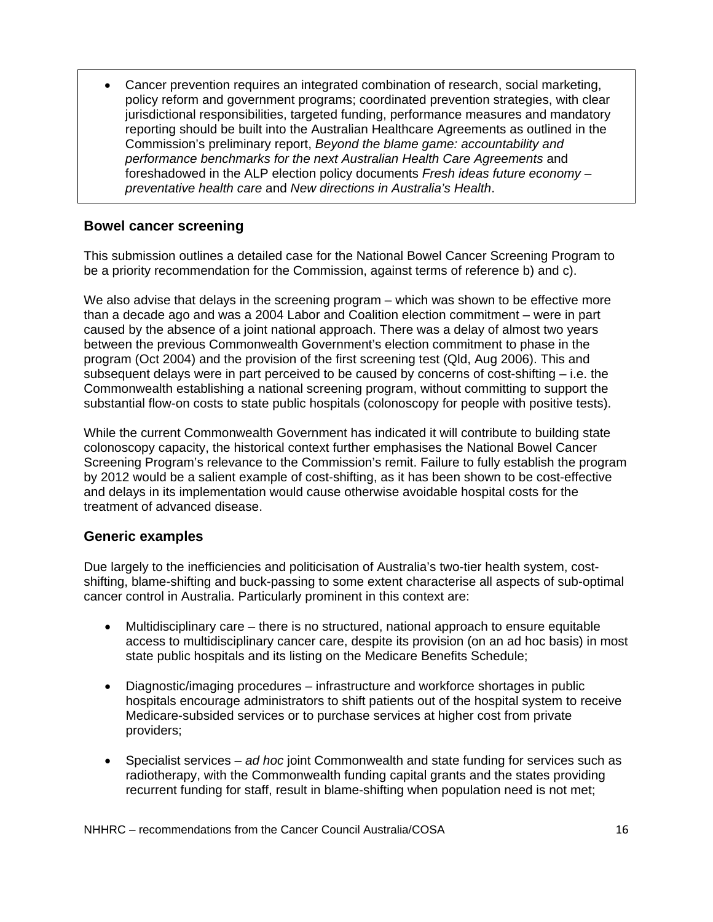• Cancer prevention requires an integrated combination of research, social marketing, policy reform and government programs; coordinated prevention strategies, with clear jurisdictional responsibilities, targeted funding, performance measures and mandatory reporting should be built into the Australian Healthcare Agreements as outlined in the Commission's preliminary report, *Beyond the blame game: accountability and performance benchmarks for the next Australian Health Care Agreements* and foreshadowed in the ALP election policy documents *Fresh ideas future economy – preventative health care* and *New directions in Australia's Health*.

### **Bowel cancer screening**

This submission outlines a detailed case for the National Bowel Cancer Screening Program to be a priority recommendation for the Commission, against terms of reference b) and c).

We also advise that delays in the screening program – which was shown to be effective more than a decade ago and was a 2004 Labor and Coalition election commitment – were in part caused by the absence of a joint national approach. There was a delay of almost two years between the previous Commonwealth Government's election commitment to phase in the program (Oct 2004) and the provision of the first screening test (Qld, Aug 2006). This and subsequent delays were in part perceived to be caused by concerns of cost-shifting – i.e. the Commonwealth establishing a national screening program, without committing to support the substantial flow-on costs to state public hospitals (colonoscopy for people with positive tests).

While the current Commonwealth Government has indicated it will contribute to building state colonoscopy capacity, the historical context further emphasises the National Bowel Cancer Screening Program's relevance to the Commission's remit. Failure to fully establish the program by 2012 would be a salient example of cost-shifting, as it has been shown to be cost-effective and delays in its implementation would cause otherwise avoidable hospital costs for the treatment of advanced disease.

### **Generic examples**

Due largely to the inefficiencies and politicisation of Australia's two-tier health system, costshifting, blame-shifting and buck-passing to some extent characterise all aspects of sub-optimal cancer control in Australia. Particularly prominent in this context are:

- Multidisciplinary care there is no structured, national approach to ensure equitable access to multidisciplinary cancer care, despite its provision (on an ad hoc basis) in most state public hospitals and its listing on the Medicare Benefits Schedule;
- Diagnostic/imaging procedures infrastructure and workforce shortages in public hospitals encourage administrators to shift patients out of the hospital system to receive Medicare-subsided services or to purchase services at higher cost from private providers;
- Specialist services *ad hoc* joint Commonwealth and state funding for services such as radiotherapy, with the Commonwealth funding capital grants and the states providing recurrent funding for staff, result in blame-shifting when population need is not met;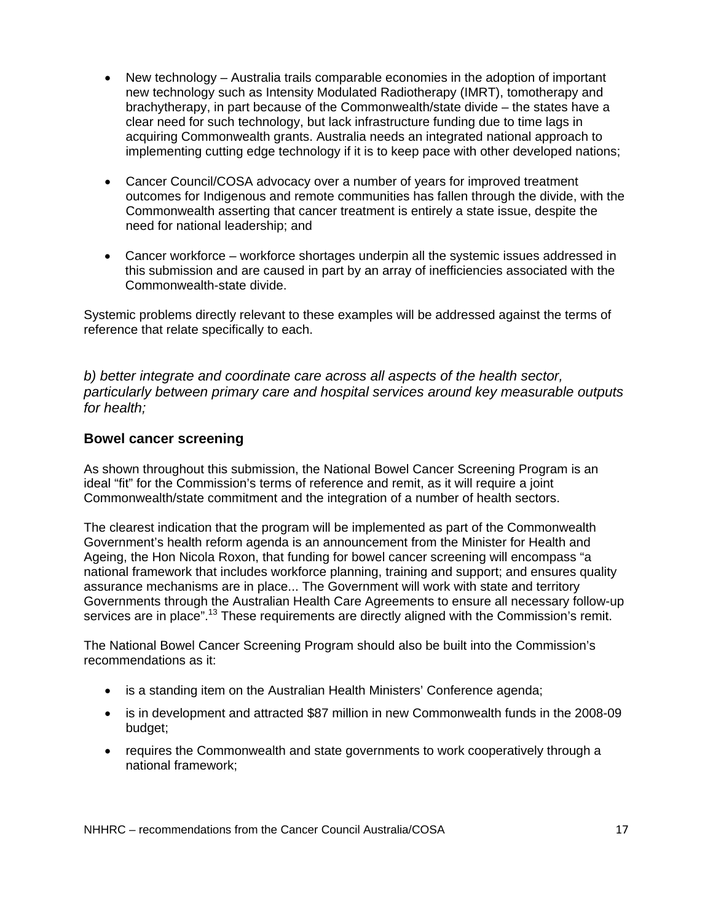- New technology Australia trails comparable economies in the adoption of important new technology such as Intensity Modulated Radiotherapy (IMRT), tomotherapy and brachytherapy, in part because of the Commonwealth/state divide – the states have a clear need for such technology, but lack infrastructure funding due to time lags in acquiring Commonwealth grants. Australia needs an integrated national approach to implementing cutting edge technology if it is to keep pace with other developed nations;
- Cancer Council/COSA advocacy over a number of years for improved treatment outcomes for Indigenous and remote communities has fallen through the divide, with the Commonwealth asserting that cancer treatment is entirely a state issue, despite the need for national leadership; and
- Cancer workforce workforce shortages underpin all the systemic issues addressed in this submission and are caused in part by an array of inefficiencies associated with the Commonwealth-state divide.

Systemic problems directly relevant to these examples will be addressed against the terms of reference that relate specifically to each.

*b) better integrate and coordinate care across all aspects of the health sector, particularly between primary care and hospital services around key measurable outputs for health;* 

### **Bowel cancer screening**

As shown throughout this submission, the National Bowel Cancer Screening Program is an ideal "fit" for the Commission's terms of reference and remit, as it will require a joint Commonwealth/state commitment and the integration of a number of health sectors.

The clearest indication that the program will be implemented as part of the Commonwealth Government's health reform agenda is an announcement from the Minister for Health and Ageing, the Hon Nicola Roxon, that funding for bowel cancer screening will encompass "a national framework that includes workforce planning, training and support; and ensures quality assurance mechanisms are in place... The Government will work with state and territory Governments through the Australian Health Care Agreements to ensure all necessary follow-up services are in place".<sup>13</sup> These requirements are directly aligned with the Commission's remit.

The National Bowel Cancer Screening Program should also be built into the Commission's recommendations as it:

- is a standing item on the Australian Health Ministers' Conference agenda;
- is in development and attracted \$87 million in new Commonwealth funds in the 2008-09 budget;
- requires the Commonwealth and state governments to work cooperatively through a national framework;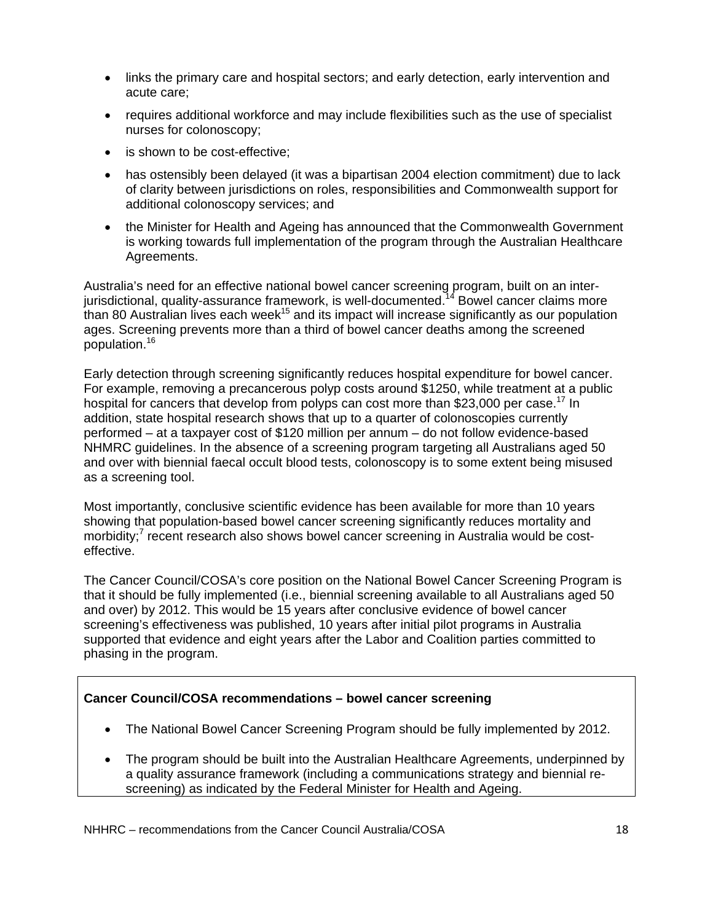- links the primary care and hospital sectors; and early detection, early intervention and acute care;
- requires additional workforce and may include flexibilities such as the use of specialist nurses for colonoscopy;
- is shown to be cost-effective;
- has ostensibly been delayed (it was a bipartisan 2004 election commitment) due to lack of clarity between jurisdictions on roles, responsibilities and Commonwealth support for additional colonoscopy services; and
- the Minister for Health and Ageing has announced that the Commonwealth Government is working towards full implementation of the program through the Australian Healthcare Agreements.

Australia's need for an effective national bowel cancer screening program, built on an interjurisdictional, quality-assurance framework, is well-documented.<sup>14</sup> Bowel cancer claims more than 80 Australian lives each week<sup>15</sup> and its impact will increase significantly as our population ages. Screening prevents more than a third of bowel cancer deaths among the screened population.16

Early detection through screening significantly reduces hospital expenditure for bowel cancer. For example, removing a precancerous polyp costs around \$1250, while treatment at a public hospital for cancers that develop from polyps can cost more than \$23,000 per case.<sup>17</sup> In addition, state hospital research shows that up to a quarter of colonoscopies currently performed – at a taxpayer cost of \$120 million per annum – do not follow evidence-based NHMRC guidelines. In the absence of a screening program targeting all Australians aged 50 and over with biennial faecal occult blood tests, colonoscopy is to some extent being misused as a screening tool.

Most importantly, conclusive scientific evidence has been available for more than 10 years showing that population-based bowel cancer screening significantly reduces mortality and morbidity;<sup>7</sup> recent research also shows bowel cancer screening in Australia would be costeffective.

The Cancer Council/COSA's core position on the National Bowel Cancer Screening Program is that it should be fully implemented (i.e., biennial screening available to all Australians aged 50 and over) by 2012. This would be 15 years after conclusive evidence of bowel cancer screening's effectiveness was published, 10 years after initial pilot programs in Australia supported that evidence and eight years after the Labor and Coalition parties committed to phasing in the program.

### **Cancer Council/COSA recommendations – bowel cancer screening**

- The National Bowel Cancer Screening Program should be fully implemented by 2012.
- The program should be built into the Australian Healthcare Agreements, underpinned by a quality assurance framework (including a communications strategy and biennial rescreening) as indicated by the Federal Minister for Health and Ageing.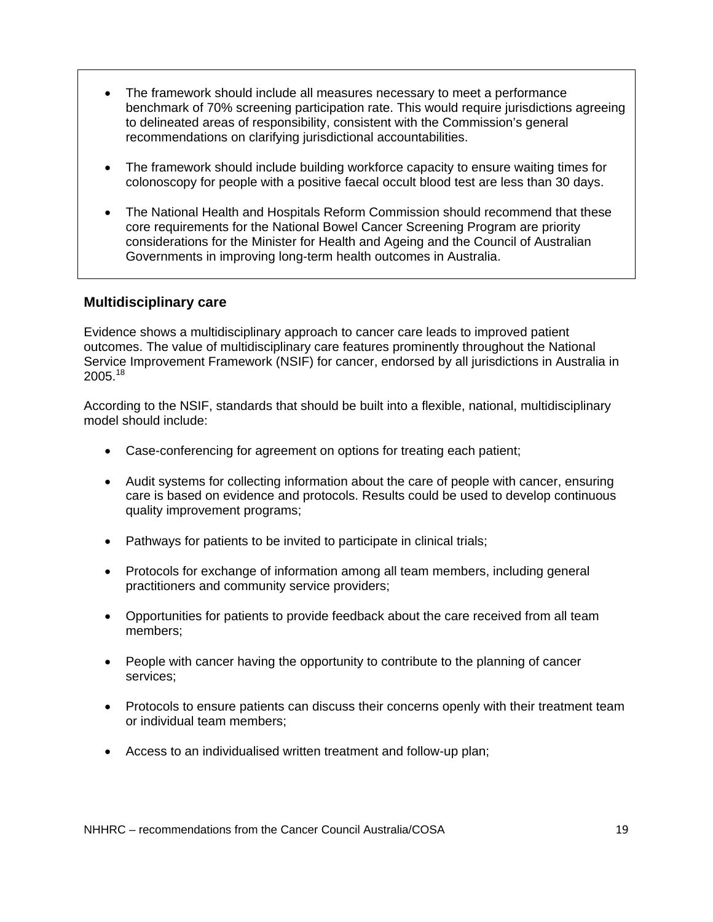- The framework should include all measures necessary to meet a performance benchmark of 70% screening participation rate. This would require jurisdictions agreeing to delineated areas of responsibility, consistent with the Commission's general recommendations on clarifying jurisdictional accountabilities.
- The framework should include building workforce capacity to ensure waiting times for colonoscopy for people with a positive faecal occult blood test are less than 30 days.
- The National Health and Hospitals Reform Commission should recommend that these core requirements for the National Bowel Cancer Screening Program are priority considerations for the Minister for Health and Ageing and the Council of Australian Governments in improving long-term health outcomes in Australia.

### **Multidisciplinary care**

Evidence shows a multidisciplinary approach to cancer care leads to improved patient outcomes. The value of multidisciplinary care features prominently throughout the National Service Improvement Framework (NSIF) for cancer, endorsed by all jurisdictions in Australia in 2005.<sup>18</sup>

According to the NSIF, standards that should be built into a flexible, national, multidisciplinary model should include:

- Case-conferencing for agreement on options for treating each patient;
- Audit systems for collecting information about the care of people with cancer, ensuring care is based on evidence and protocols. Results could be used to develop continuous quality improvement programs;
- Pathways for patients to be invited to participate in clinical trials;
- Protocols for exchange of information among all team members, including general practitioners and community service providers;
- Opportunities for patients to provide feedback about the care received from all team members;
- People with cancer having the opportunity to contribute to the planning of cancer services;
- Protocols to ensure patients can discuss their concerns openly with their treatment team or individual team members;
- Access to an individualised written treatment and follow-up plan;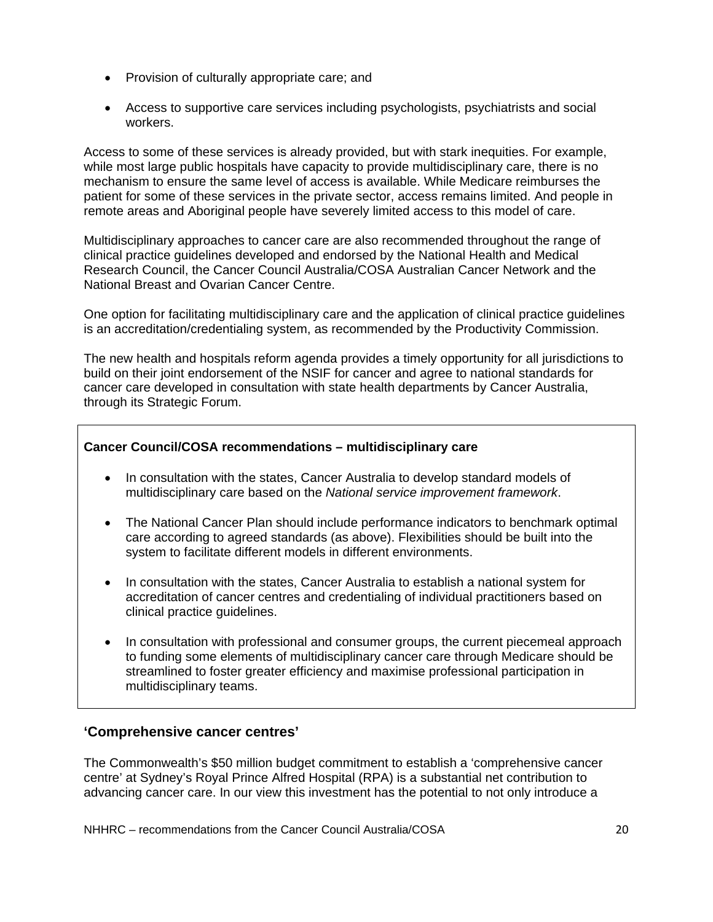- Provision of culturally appropriate care; and
- Access to supportive care services including psychologists, psychiatrists and social workers.

Access to some of these services is already provided, but with stark inequities. For example, while most large public hospitals have capacity to provide multidisciplinary care, there is no mechanism to ensure the same level of access is available. While Medicare reimburses the patient for some of these services in the private sector, access remains limited. And people in remote areas and Aboriginal people have severely limited access to this model of care.

Multidisciplinary approaches to cancer care are also recommended throughout the range of clinical practice guidelines developed and endorsed by the National Health and Medical Research Council, the Cancer Council Australia/COSA Australian Cancer Network and the National Breast and Ovarian Cancer Centre.

One option for facilitating multidisciplinary care and the application of clinical practice guidelines is an accreditation/credentialing system, as recommended by the Productivity Commission.

The new health and hospitals reform agenda provides a timely opportunity for all jurisdictions to build on their joint endorsement of the NSIF for cancer and agree to national standards for cancer care developed in consultation with state health departments by Cancer Australia, through its Strategic Forum.

### **Cancer Council/COSA recommendations – multidisciplinary care**

- In consultation with the states, Cancer Australia to develop standard models of multidisciplinary care based on the *National service improvement framework*.
- The National Cancer Plan should include performance indicators to benchmark optimal care according to agreed standards (as above). Flexibilities should be built into the system to facilitate different models in different environments.
- In consultation with the states, Cancer Australia to establish a national system for accreditation of cancer centres and credentialing of individual practitioners based on clinical practice guidelines.
- In consultation with professional and consumer groups, the current piecemeal approach to funding some elements of multidisciplinary cancer care through Medicare should be streamlined to foster greater efficiency and maximise professional participation in multidisciplinary teams.

### **'Comprehensive cancer centres'**

The Commonwealth's \$50 million budget commitment to establish a 'comprehensive cancer centre' at Sydney's Royal Prince Alfred Hospital (RPA) is a substantial net contribution to advancing cancer care. In our view this investment has the potential to not only introduce a

NHHRC – recommendations from the Cancer Council Australia/COSA 20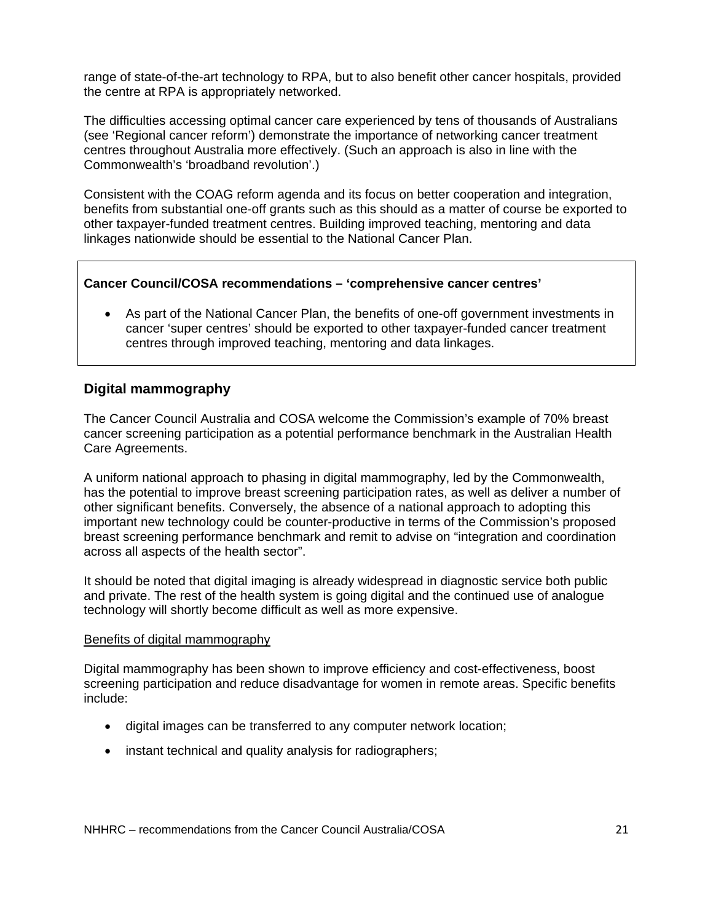range of state-of-the-art technology to RPA, but to also benefit other cancer hospitals, provided the centre at RPA is appropriately networked.

The difficulties accessing optimal cancer care experienced by tens of thousands of Australians (see 'Regional cancer reform') demonstrate the importance of networking cancer treatment centres throughout Australia more effectively. (Such an approach is also in line with the Commonwealth's 'broadband revolution'.)

Consistent with the COAG reform agenda and its focus on better cooperation and integration, benefits from substantial one-off grants such as this should as a matter of course be exported to other taxpayer-funded treatment centres. Building improved teaching, mentoring and data linkages nationwide should be essential to the National Cancer Plan.

#### **Cancer Council/COSA recommendations – 'comprehensive cancer centres'**

• As part of the National Cancer Plan, the benefits of one-off government investments in cancer 'super centres' should be exported to other taxpayer-funded cancer treatment centres through improved teaching, mentoring and data linkages.

### **Digital mammography**

The Cancer Council Australia and COSA welcome the Commission's example of 70% breast cancer screening participation as a potential performance benchmark in the Australian Health Care Agreements.

A uniform national approach to phasing in digital mammography, led by the Commonwealth, has the potential to improve breast screening participation rates, as well as deliver a number of other significant benefits. Conversely, the absence of a national approach to adopting this important new technology could be counter-productive in terms of the Commission's proposed breast screening performance benchmark and remit to advise on "integration and coordination across all aspects of the health sector".

It should be noted that digital imaging is already widespread in diagnostic service both public and private. The rest of the health system is going digital and the continued use of analogue technology will shortly become difficult as well as more expensive.

#### Benefits of digital mammography

Digital mammography has been shown to improve efficiency and cost-effectiveness, boost screening participation and reduce disadvantage for women in remote areas. Specific benefits include:

- digital images can be transferred to any computer network location;
- instant technical and quality analysis for radiographers;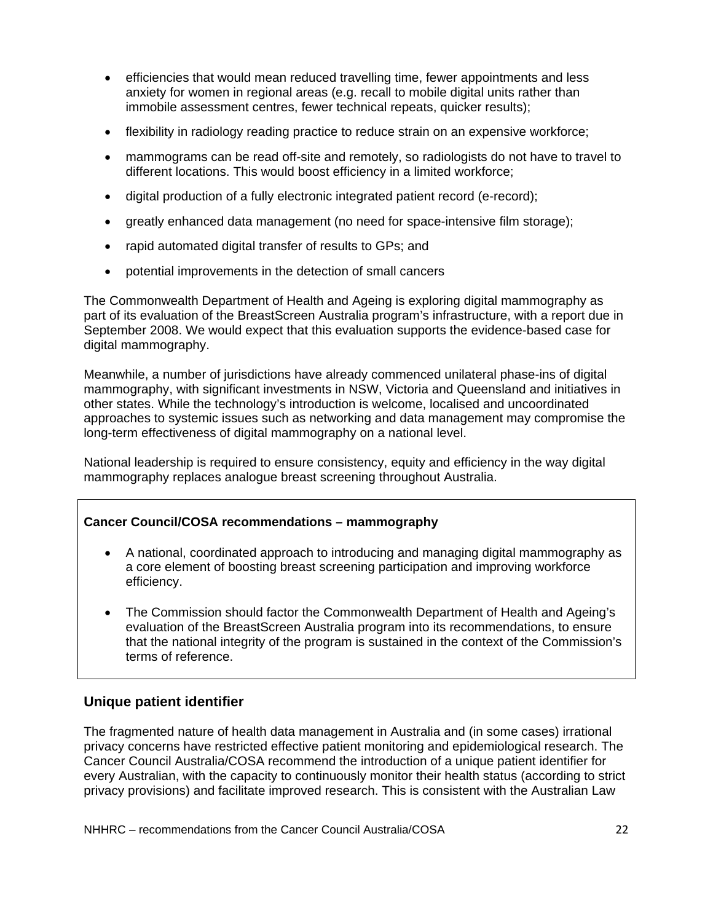- efficiencies that would mean reduced travelling time, fewer appointments and less anxiety for women in regional areas (e.g. recall to mobile digital units rather than immobile assessment centres, fewer technical repeats, quicker results);
- flexibility in radiology reading practice to reduce strain on an expensive workforce;
- mammograms can be read off-site and remotely, so radiologists do not have to travel to different locations. This would boost efficiency in a limited workforce;
- digital production of a fully electronic integrated patient record (e-record);
- greatly enhanced data management (no need for space-intensive film storage);
- rapid automated digital transfer of results to GPs; and
- potential improvements in the detection of small cancers

The Commonwealth Department of Health and Ageing is exploring digital mammography as part of its evaluation of the BreastScreen Australia program's infrastructure, with a report due in September 2008. We would expect that this evaluation supports the evidence-based case for digital mammography.

Meanwhile, a number of jurisdictions have already commenced unilateral phase-ins of digital mammography, with significant investments in NSW, Victoria and Queensland and initiatives in other states. While the technology's introduction is welcome, localised and uncoordinated approaches to systemic issues such as networking and data management may compromise the long-term effectiveness of digital mammography on a national level.

National leadership is required to ensure consistency, equity and efficiency in the way digital mammography replaces analogue breast screening throughout Australia.

### **Cancer Council/COSA recommendations – mammography**

- A national, coordinated approach to introducing and managing digital mammography as a core element of boosting breast screening participation and improving workforce efficiency.
- The Commission should factor the Commonwealth Department of Health and Ageing's evaluation of the BreastScreen Australia program into its recommendations, to ensure that the national integrity of the program is sustained in the context of the Commission's terms of reference.

### **Unique patient identifier**

The fragmented nature of health data management in Australia and (in some cases) irrational privacy concerns have restricted effective patient monitoring and epidemiological research. The Cancer Council Australia/COSA recommend the introduction of a unique patient identifier for every Australian, with the capacity to continuously monitor their health status (according to strict privacy provisions) and facilitate improved research. This is consistent with the Australian Law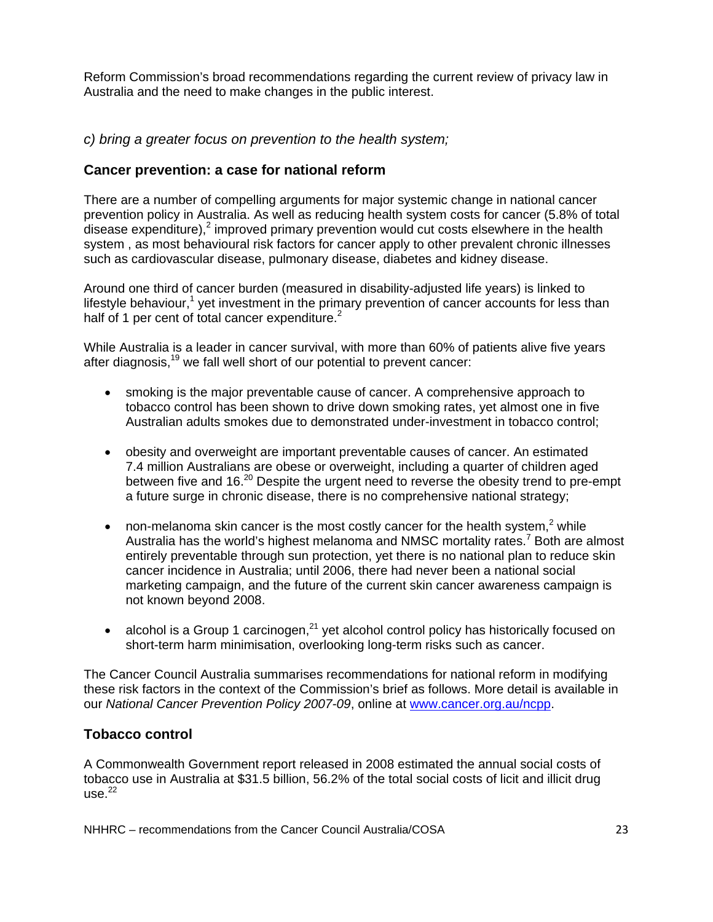Reform Commission's broad recommendations regarding the current review of privacy law in Australia and the need to make changes in the public interest.

*c) bring a greater focus on prevention to the health system;* 

### **Cancer prevention: a case for national reform**

There are a number of compelling arguments for major systemic change in national cancer prevention policy in Australia. As well as reducing health system costs for cancer (5.8% of total disease expenditure),<sup>2</sup> improved primary prevention would cut costs elsewhere in the health system , as most behavioural risk factors for cancer apply to other prevalent chronic illnesses such as cardiovascular disease, pulmonary disease, diabetes and kidney disease.

Around one third of cancer burden (measured in disability-adjusted life years) is linked to lifestyle behaviour,<sup>1</sup> yet investment in the primary prevention of cancer accounts for less than half of 1 per cent of total cancer expenditure. $2^2$ 

While Australia is a leader in cancer survival, with more than 60% of patients alive five years after diagnosis, $19$  we fall well short of our potential to prevent cancer:

- smoking is the major preventable cause of cancer. A comprehensive approach to tobacco control has been shown to drive down smoking rates, yet almost one in five Australian adults smokes due to demonstrated under-investment in tobacco control;
- obesity and overweight are important preventable causes of cancer. An estimated 7.4 million Australians are obese or overweight, including a quarter of children aged between five and 16.<sup>20</sup> Despite the urgent need to reverse the obesity trend to pre-empt a future surge in chronic disease, there is no comprehensive national strategy;
- non-melanoma skin cancer is the most costly cancer for the health system,<sup>2</sup> while Australia has the world's highest melanoma and NMSC mortality rates.<sup>7</sup> Both are almost entirely preventable through sun protection, yet there is no national plan to reduce skin cancer incidence in Australia; until 2006, there had never been a national social marketing campaign, and the future of the current skin cancer awareness campaign is not known beyond 2008.
- alcohol is a Group 1 carcinogen, $^{21}$  yet alcohol control policy has historically focused on short-term harm minimisation, overlooking long-term risks such as cancer.

The Cancer Council Australia summarises recommendations for national reform in modifying these risk factors in the context of the Commission's brief as follows. More detail is available in our *National Cancer Prevention Policy 2007-09*, online at www.cancer.org.au/ncpp.

### **Tobacco control**

A Commonwealth Government report released in 2008 estimated the annual social costs of tobacco use in Australia at \$31.5 billion, 56.2% of the total social costs of licit and illicit drug  $use<sup>.22</sup>$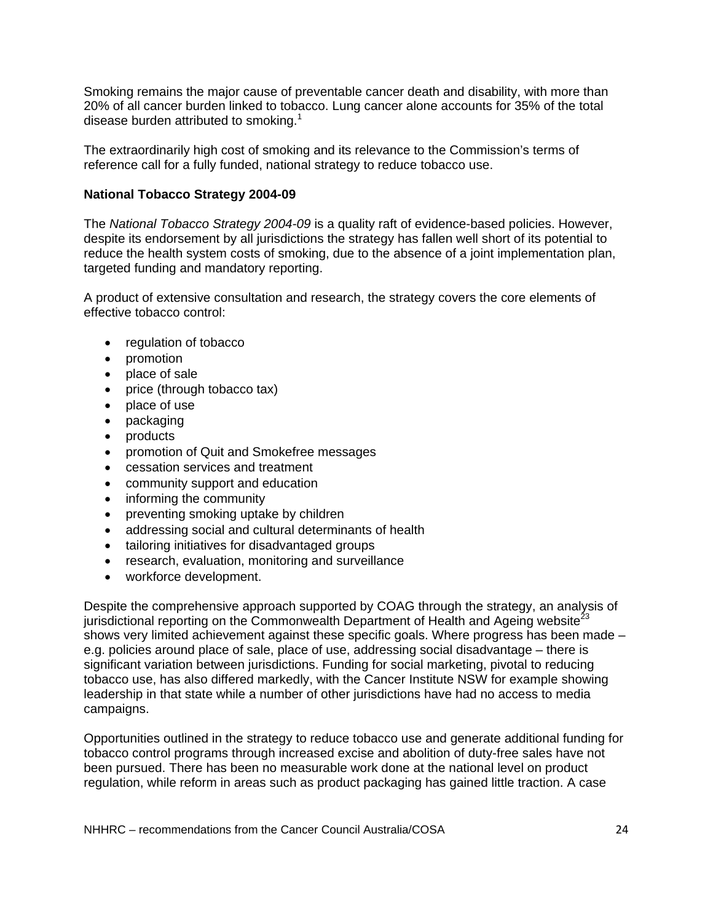Smoking remains the major cause of preventable cancer death and disability, with more than 20% of all cancer burden linked to tobacco. Lung cancer alone accounts for 35% of the total disease burden attributed to smoking.<sup>1</sup>

The extraordinarily high cost of smoking and its relevance to the Commission's terms of reference call for a fully funded, national strategy to reduce tobacco use.

#### **National Tobacco Strategy 2004-09**

The *National Tobacco Strategy 2004-09* is a quality raft of evidence-based policies. However, despite its endorsement by all jurisdictions the strategy has fallen well short of its potential to reduce the health system costs of smoking, due to the absence of a joint implementation plan, targeted funding and mandatory reporting.

A product of extensive consultation and research, the strategy covers the core elements of effective tobacco control:

- regulation of tobacco
- promotion
- place of sale
- price (through tobacco tax)
- place of use
- packaging
- products
- promotion of Quit and Smokefree messages
- cessation services and treatment
- community support and education
- informing the community
- preventing smoking uptake by children
- addressing social and cultural determinants of health
- tailoring initiatives for disadvantaged groups
- research, evaluation, monitoring and surveillance
- workforce development.

Despite the comprehensive approach supported by COAG through the strategy, an analysis of jurisdictional reporting on the Commonwealth Department of Health and Ageing website<sup>23</sup> shows very limited achievement against these specific goals. Where progress has been made – e.g. policies around place of sale, place of use, addressing social disadvantage – there is significant variation between jurisdictions. Funding for social marketing, pivotal to reducing tobacco use, has also differed markedly, with the Cancer Institute NSW for example showing leadership in that state while a number of other jurisdictions have had no access to media campaigns.

Opportunities outlined in the strategy to reduce tobacco use and generate additional funding for tobacco control programs through increased excise and abolition of duty-free sales have not been pursued. There has been no measurable work done at the national level on product regulation, while reform in areas such as product packaging has gained little traction. A case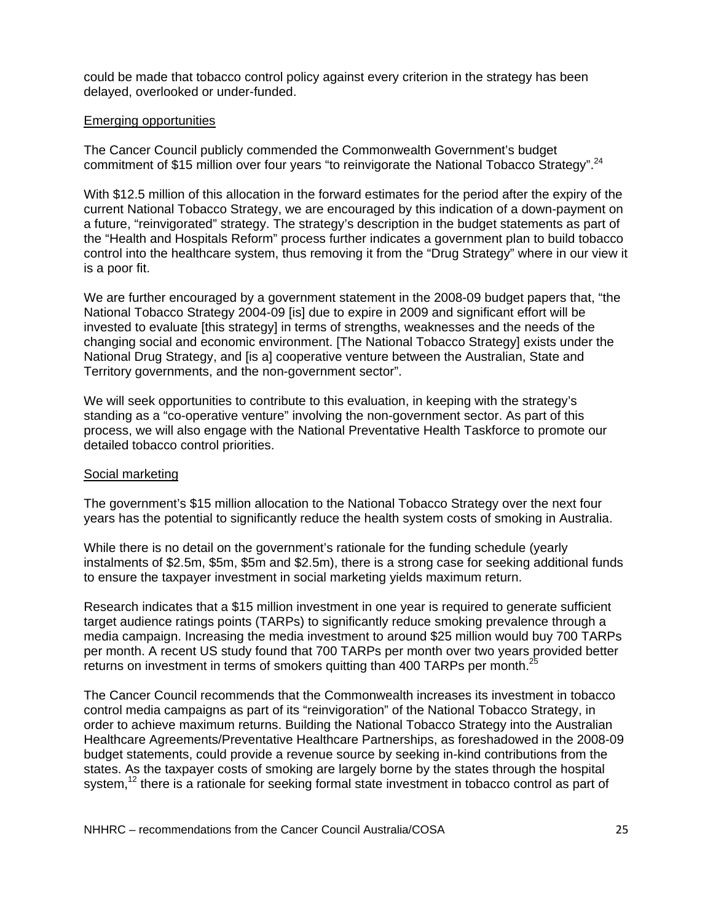could be made that tobacco control policy against every criterion in the strategy has been delayed, overlooked or under-funded.

#### Emerging opportunities

The Cancer Council publicly commended the Commonwealth Government's budget commitment of \$15 million over four years "to reinvigorate the National Tobacco Strategy".<sup>24</sup>

With \$12.5 million of this allocation in the forward estimates for the period after the expiry of the current National Tobacco Strategy, we are encouraged by this indication of a down-payment on a future, "reinvigorated" strategy. The strategy's description in the budget statements as part of the "Health and Hospitals Reform" process further indicates a government plan to build tobacco control into the healthcare system, thus removing it from the "Drug Strategy" where in our view it is a poor fit.

We are further encouraged by a government statement in the 2008-09 budget papers that, "the National Tobacco Strategy 2004-09 [is] due to expire in 2009 and significant effort will be invested to evaluate [this strategy] in terms of strengths, weaknesses and the needs of the changing social and economic environment. [The National Tobacco Strategy] exists under the National Drug Strategy, and [is a] cooperative venture between the Australian, State and Territory governments, and the non-government sector".

We will seek opportunities to contribute to this evaluation, in keeping with the strategy's standing as a "co-operative venture" involving the non-government sector. As part of this process, we will also engage with the National Preventative Health Taskforce to promote our detailed tobacco control priorities.

#### Social marketing

The government's \$15 million allocation to the National Tobacco Strategy over the next four years has the potential to significantly reduce the health system costs of smoking in Australia.

While there is no detail on the government's rationale for the funding schedule (yearly instalments of \$2.5m, \$5m, \$5m and \$2.5m), there is a strong case for seeking additional funds to ensure the taxpayer investment in social marketing yields maximum return.

Research indicates that a \$15 million investment in one year is required to generate sufficient target audience ratings points (TARPs) to significantly reduce smoking prevalence through a media campaign. Increasing the media investment to around \$25 million would buy 700 TARPs per month. A recent US study found that 700 TARPs per month over two years provided better returns on investment in terms of smokers quitting than 400 TARPs per month.<sup>25</sup>

The Cancer Council recommends that the Commonwealth increases its investment in tobacco control media campaigns as part of its "reinvigoration" of the National Tobacco Strategy, in order to achieve maximum returns. Building the National Tobacco Strategy into the Australian Healthcare Agreements/Preventative Healthcare Partnerships, as foreshadowed in the 2008-09 budget statements, could provide a revenue source by seeking in-kind contributions from the states. As the taxpayer costs of smoking are largely borne by the states through the hospital system,<sup>12</sup> there is a rationale for seeking formal state investment in tobacco control as part of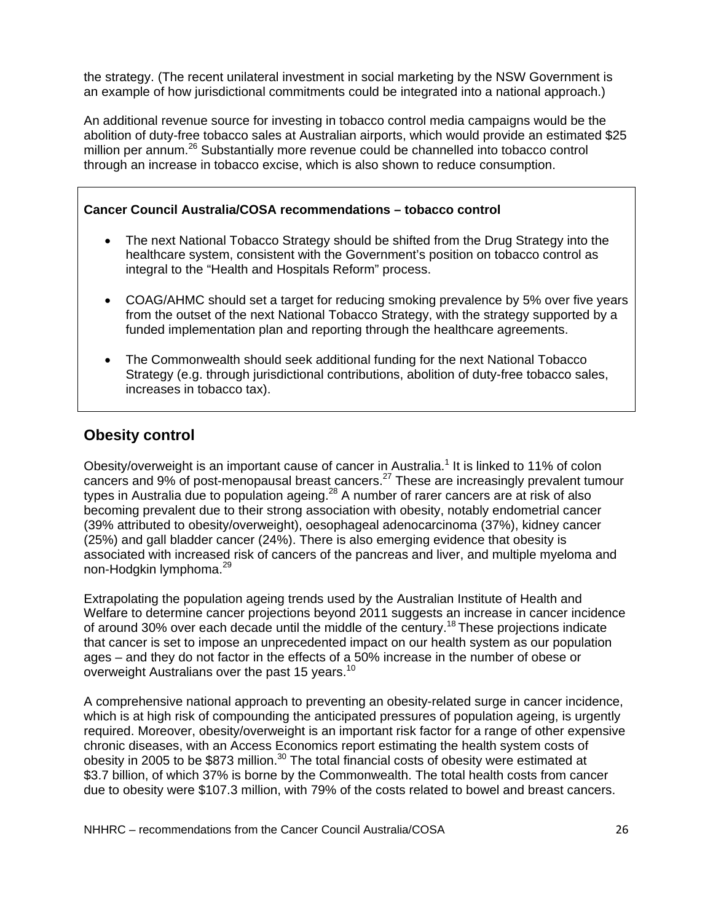the strategy. (The recent unilateral investment in social marketing by the NSW Government is an example of how jurisdictional commitments could be integrated into a national approach.)

An additional revenue source for investing in tobacco control media campaigns would be the abolition of duty-free tobacco sales at Australian airports, which would provide an estimated \$25 million per annum.<sup>26</sup> Substantially more revenue could be channelled into tobacco control through an increase in tobacco excise, which is also shown to reduce consumption.

### **Cancer Council Australia/COSA recommendations – tobacco control**

- The next National Tobacco Strategy should be shifted from the Drug Strategy into the healthcare system, consistent with the Government's position on tobacco control as integral to the "Health and Hospitals Reform" process.
- COAG/AHMC should set a target for reducing smoking prevalence by 5% over five years from the outset of the next National Tobacco Strategy, with the strategy supported by a funded implementation plan and reporting through the healthcare agreements.
- The Commonwealth should seek additional funding for the next National Tobacco Strategy (e.g. through jurisdictional contributions, abolition of duty-free tobacco sales, increases in tobacco tax).

# **Obesity control**

Obesity/overweight is an important cause of cancer in Australia.<sup>1</sup> It is linked to 11% of colon cancers and 9% of post-menopausal breast cancers.<sup>27</sup> These are increasingly prevalent tumour types in Australia due to population ageing.<sup>28</sup> A number of rarer cancers are at risk of also becoming prevalent due to their strong association with obesity, notably endometrial cancer (39% attributed to obesity/overweight), oesophageal adenocarcinoma (37%), kidney cancer (25%) and gall bladder cancer (24%). There is also emerging evidence that obesity is associated with increased risk of cancers of the pancreas and liver, and multiple myeloma and non-Hodgkin lymphoma.<sup>29</sup>

Extrapolating the population ageing trends used by the Australian Institute of Health and Welfare to determine cancer projections beyond 2011 suggests an increase in cancer incidence of around 30% over each decade until the middle of the century.<sup>18</sup> These projections indicate that cancer is set to impose an unprecedented impact on our health system as our population ages – and they do not factor in the effects of a 50% increase in the number of obese or overweight Australians over the past 15 years.<sup>10</sup>

A comprehensive national approach to preventing an obesity-related surge in cancer incidence, which is at high risk of compounding the anticipated pressures of population ageing, is urgently required. Moreover, obesity/overweight is an important risk factor for a range of other expensive chronic diseases, with an Access Economics report estimating the health system costs of obesity in 2005 to be \$873 million. $30$  The total financial costs of obesity were estimated at \$3.7 billion, of which 37% is borne by the Commonwealth. The total health costs from cancer due to obesity were \$107.3 million, with 79% of the costs related to bowel and breast cancers.

NHHRC – recommendations from the Cancer Council Australia/COSA 26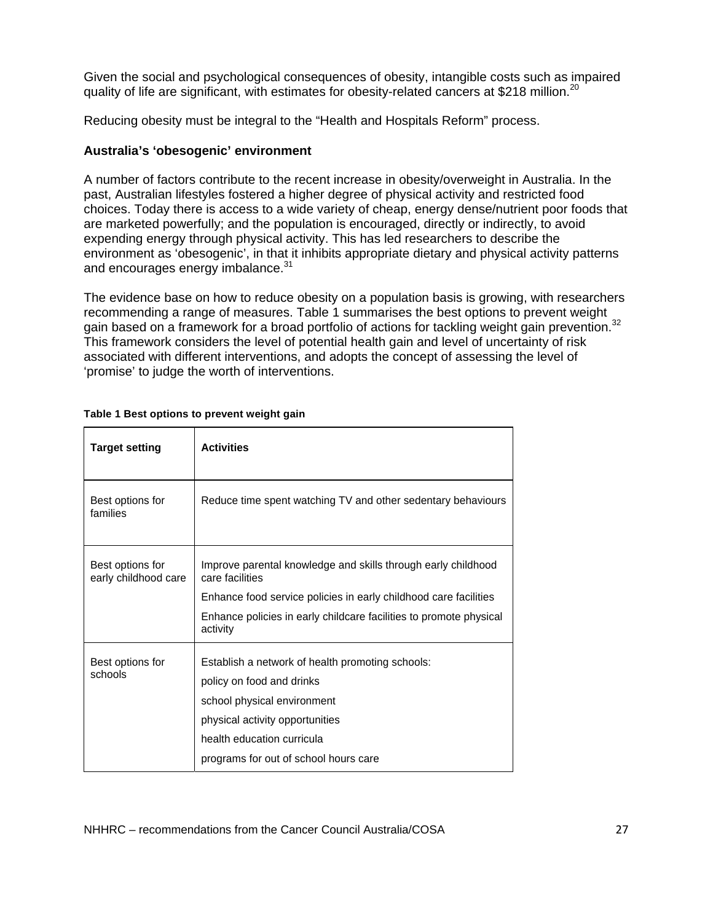Given the social and psychological consequences of obesity, intangible costs such as impaired quality of life are significant, with estimates for obesity-related cancers at \$218 million.<sup>20</sup>

Reducing obesity must be integral to the "Health and Hospitals Reform" process.

#### **Australia's 'obesogenic' environment**

A number of factors contribute to the recent increase in obesity/overweight in Australia. In the past, Australian lifestyles fostered a higher degree of physical activity and restricted food choices. Today there is access to a wide variety of cheap, energy dense/nutrient poor foods that are marketed powerfully; and the population is encouraged, directly or indirectly, to avoid expending energy through physical activity. This has led researchers to describe the environment as 'obesogenic', in that it inhibits appropriate dietary and physical activity patterns and encourages energy imbalance.<sup>31</sup>

The evidence base on how to reduce obesity on a population basis is growing, with researchers recommending a range of measures. Table 1 summarises the best options to prevent weight gain based on a framework for a broad portfolio of actions for tackling weight gain prevention.<sup>32</sup> This framework considers the level of potential health gain and level of uncertainty of risk associated with different interventions, and adopts the concept of assessing the level of 'promise' to judge the worth of interventions.

| <b>Target setting</b>                    | <b>Activities</b>                                                                |
|------------------------------------------|----------------------------------------------------------------------------------|
| Best options for<br>families             | Reduce time spent watching TV and other sedentary behaviours                     |
| Best options for<br>early childhood care | Improve parental knowledge and skills through early childhood<br>care facilities |
|                                          | Enhance food service policies in early childhood care facilities                 |
|                                          | Enhance policies in early childcare facilities to promote physical<br>activity   |
| Best options for<br>schools              | Establish a network of health promoting schools:                                 |
|                                          | policy on food and drinks                                                        |
|                                          | school physical environment                                                      |
|                                          | physical activity opportunities                                                  |
|                                          | health education curricula                                                       |
|                                          | programs for out of school hours care                                            |

| Table 1 Best options to prevent weight gain |  |
|---------------------------------------------|--|
|---------------------------------------------|--|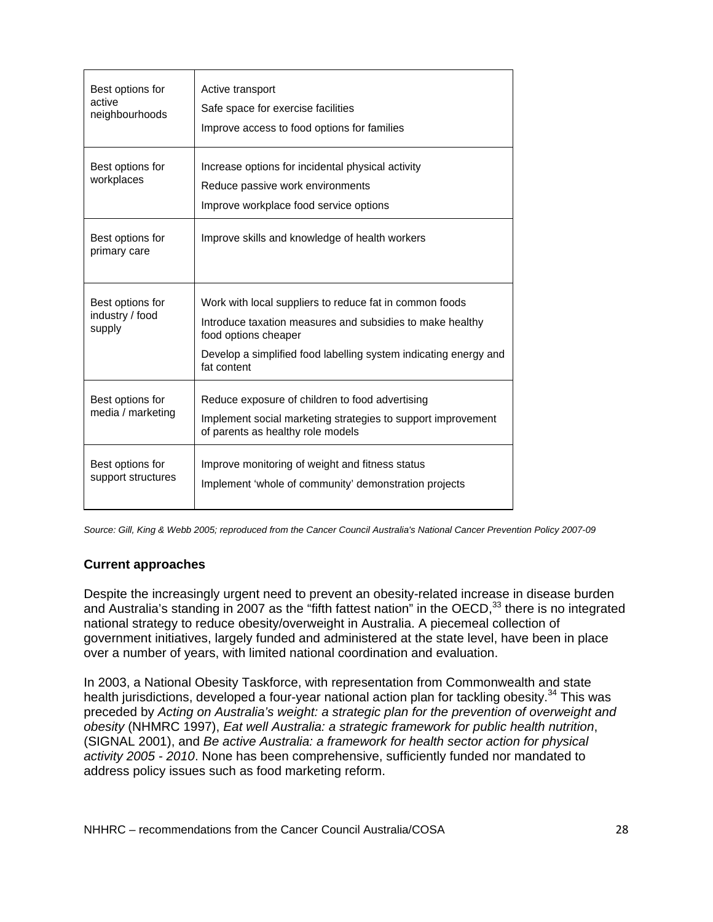| Best options for<br>active<br>neighbourhoods  | Active transport<br>Safe space for exercise facilities<br>Improve access to food options for families                                                                                                                           |
|-----------------------------------------------|---------------------------------------------------------------------------------------------------------------------------------------------------------------------------------------------------------------------------------|
| Best options for<br>workplaces                | Increase options for incidental physical activity<br>Reduce passive work environments<br>Improve workplace food service options                                                                                                 |
| Best options for<br>primary care              | Improve skills and knowledge of health workers                                                                                                                                                                                  |
| Best options for<br>industry / food<br>supply | Work with local suppliers to reduce fat in common foods<br>Introduce taxation measures and subsidies to make healthy<br>food options cheaper<br>Develop a simplified food labelling system indicating energy and<br>fat content |
| Best options for<br>media / marketing         | Reduce exposure of children to food advertising<br>Implement social marketing strategies to support improvement<br>of parents as healthy role models                                                                            |
| Best options for<br>support structures        | Improve monitoring of weight and fitness status<br>Implement 'whole of community' demonstration projects                                                                                                                        |

*Source: Gill, King & Webb 2005; reproduced from the Cancer Council Australia's National Cancer Prevention Policy 2007-09* 

### **Current approaches**

Despite the increasingly urgent need to prevent an obesity-related increase in disease burden and Australia's standing in 2007 as the "fifth fattest nation" in the OECD,<sup>33</sup> there is no integrated national strategy to reduce obesity/overweight in Australia. A piecemeal collection of government initiatives, largely funded and administered at the state level, have been in place over a number of years, with limited national coordination and evaluation.

In 2003, a National Obesity Taskforce, with representation from Commonwealth and state health jurisdictions, developed a four-year national action plan for tackling obesity.<sup>34</sup> This was preceded by *Acting on Australia's weight: a strategic plan for the prevention of overweight and obesity* (NHMRC 1997), *Eat well Australia: a strategic framework for public health nutrition*, (SIGNAL 2001), and *Be active Australia: a framework for health sector action for physical activity 2005 - 2010*. None has been comprehensive, sufficiently funded nor mandated to address policy issues such as food marketing reform.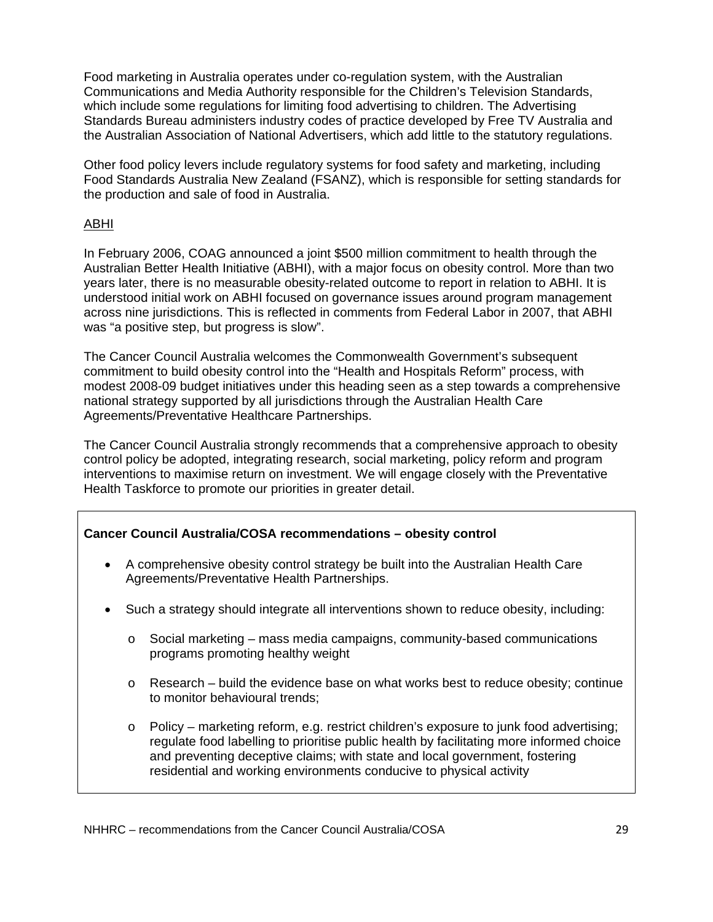Food marketing in Australia operates under co-regulation system, with the Australian Communications and Media Authority responsible for the Children's Television Standards, which include some regulations for limiting food advertising to children. The Advertising Standards Bureau administers industry codes of practice developed by Free TV Australia and the Australian Association of National Advertisers, which add little to the statutory regulations.

Other food policy levers include regulatory systems for food safety and marketing, including Food Standards Australia New Zealand (FSANZ), which is responsible for setting standards for the production and sale of food in Australia.

### ABHI

In February 2006, COAG announced a joint \$500 million commitment to health through the Australian Better Health Initiative (ABHI), with a major focus on obesity control. More than two years later, there is no measurable obesity-related outcome to report in relation to ABHI. It is understood initial work on ABHI focused on governance issues around program management across nine jurisdictions. This is reflected in comments from Federal Labor in 2007, that ABHI was "a positive step, but progress is slow".

The Cancer Council Australia welcomes the Commonwealth Government's subsequent commitment to build obesity control into the "Health and Hospitals Reform" process, with modest 2008-09 budget initiatives under this heading seen as a step towards a comprehensive national strategy supported by all jurisdictions through the Australian Health Care Agreements/Preventative Healthcare Partnerships.

The Cancer Council Australia strongly recommends that a comprehensive approach to obesity control policy be adopted, integrating research, social marketing, policy reform and program interventions to maximise return on investment. We will engage closely with the Preventative Health Taskforce to promote our priorities in greater detail.

### **Cancer Council Australia/COSA recommendations – obesity control**

- A comprehensive obesity control strategy be built into the Australian Health Care Agreements/Preventative Health Partnerships.
- Such a strategy should integrate all interventions shown to reduce obesity, including:
	- $\circ$  Social marketing mass media campaigns, community-based communications programs promoting healthy weight
	- $\circ$  Research build the evidence base on what works best to reduce obesity; continue to monitor behavioural trends;
	- $\circ$  Policy marketing reform, e.g. restrict children's exposure to junk food advertising; regulate food labelling to prioritise public health by facilitating more informed choice and preventing deceptive claims; with state and local government, fostering residential and working environments conducive to physical activity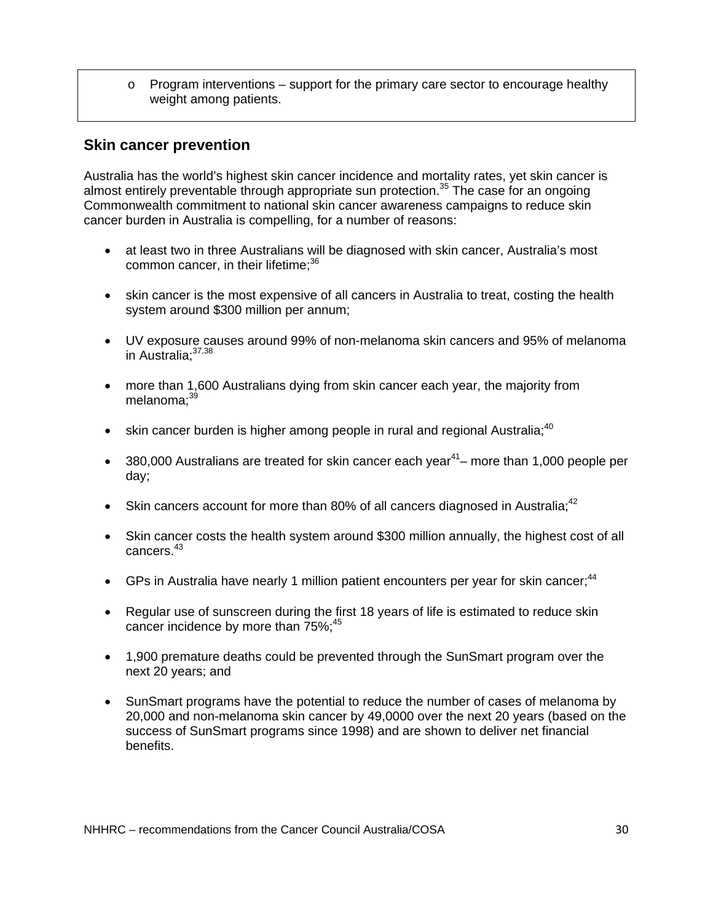$\circ$  Program interventions – support for the primary care sector to encourage healthy weight among patients.

# **Skin cancer prevention**

Australia has the world's highest skin cancer incidence and mortality rates, yet skin cancer is almost entirely preventable through appropriate sun protection.<sup>35</sup> The case for an ongoing Commonwealth commitment to national skin cancer awareness campaigns to reduce skin cancer burden in Australia is compelling, for a number of reasons:

- at least two in three Australians will be diagnosed with skin cancer, Australia's most common cancer, in their lifetime;<sup>36</sup>
- skin cancer is the most expensive of all cancers in Australia to treat, costing the health system around \$300 million per annum;
- UV exposure causes around 99% of non-melanoma skin cancers and 95% of melanoma in Australia: 37,38
- more than 1,600 Australians dying from skin cancer each year, the majority from melanoma $:39$
- skin cancer burden is higher among people in rural and regional Australia: $^{40}$
- 380,000 Australians are treated for skin cancer each year<sup>41</sup> more than 1,000 people per day;
- Skin cancers account for more than 80% of all cancers diagnosed in Australia; $42$
- Skin cancer costs the health system around \$300 million annually, the highest cost of all cancers.43
- GPs in Australia have nearly 1 million patient encounters per year for skin cancer;  $44$
- Regular use of sunscreen during the first 18 years of life is estimated to reduce skin cancer incidence by more than 75%;<sup>45</sup>
- 1,900 premature deaths could be prevented through the SunSmart program over the next 20 years; and
- SunSmart programs have the potential to reduce the number of cases of melanoma by 20,000 and non-melanoma skin cancer by 49,0000 over the next 20 years (based on the success of SunSmart programs since 1998) and are shown to deliver net financial benefits.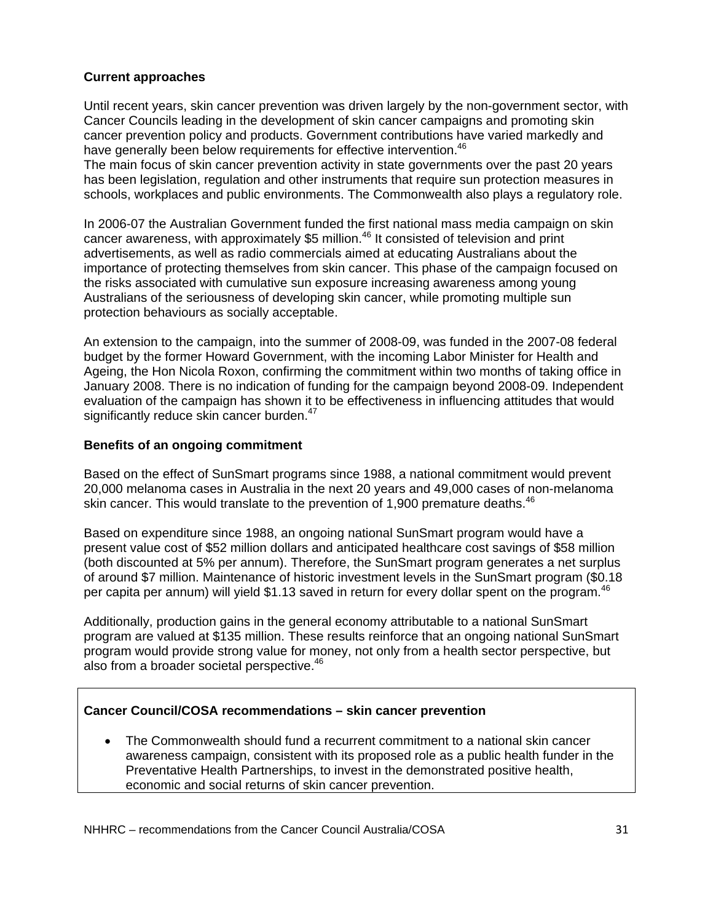### **Current approaches**

Until recent years, skin cancer prevention was driven largely by the non-government sector, with Cancer Councils leading in the development of skin cancer campaigns and promoting skin cancer prevention policy and products. Government contributions have varied markedly and have generally been below requirements for effective intervention.<sup>46</sup>

The main focus of skin cancer prevention activity in state governments over the past 20 years has been legislation, regulation and other instruments that require sun protection measures in schools, workplaces and public environments. The Commonwealth also plays a regulatory role.

In 2006-07 the Australian Government funded the first national mass media campaign on skin cancer awareness, with approximately \$5 million.<sup>46</sup> It consisted of television and print advertisements, as well as radio commercials aimed at educating Australians about the importance of protecting themselves from skin cancer. This phase of the campaign focused on the risks associated with cumulative sun exposure increasing awareness among young Australians of the seriousness of developing skin cancer, while promoting multiple sun protection behaviours as socially acceptable.

An extension to the campaign, into the summer of 2008-09, was funded in the 2007-08 federal budget by the former Howard Government, with the incoming Labor Minister for Health and Ageing, the Hon Nicola Roxon, confirming the commitment within two months of taking office in January 2008. There is no indication of funding for the campaign beyond 2008-09. Independent evaluation of the campaign has shown it to be effectiveness in influencing attitudes that would significantly reduce skin cancer burden.<sup>47</sup>

### **Benefits of an ongoing commitment**

Based on the effect of SunSmart programs since 1988, a national commitment would prevent 20,000 melanoma cases in Australia in the next 20 years and 49,000 cases of non-melanoma skin cancer. This would translate to the prevention of 1,900 premature deaths.<sup>46</sup>

Based on expenditure since 1988, an ongoing national SunSmart program would have a present value cost of \$52 million dollars and anticipated healthcare cost savings of \$58 million (both discounted at 5% per annum). Therefore, the SunSmart program generates a net surplus of around \$7 million. Maintenance of historic investment levels in the SunSmart program (\$0.18 per capita per annum) will yield \$1.13 saved in return for every dollar spent on the program.<sup>46</sup>

Additionally, production gains in the general economy attributable to a national SunSmart program are valued at \$135 million. These results reinforce that an ongoing national SunSmart program would provide strong value for money, not only from a health sector perspective, but also from a broader societal perspective.<sup>46</sup>

### **Cancer Council/COSA recommendations – skin cancer prevention**

• The Commonwealth should fund a recurrent commitment to a national skin cancer awareness campaign, consistent with its proposed role as a public health funder in the Preventative Health Partnerships, to invest in the demonstrated positive health, economic and social returns of skin cancer prevention.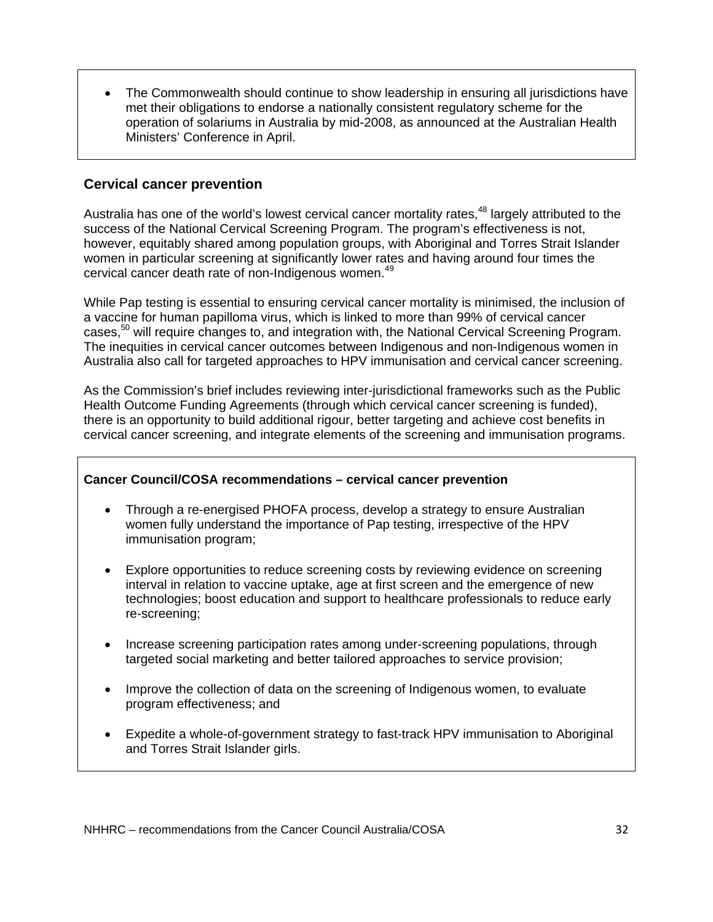• The Commonwealth should continue to show leadership in ensuring all jurisdictions have met their obligations to endorse a nationally consistent regulatory scheme for the operation of solariums in Australia by mid-2008, as announced at the Australian Health Ministers' Conference in April.

## **Cervical cancer prevention**

Australia has one of the world's lowest cervical cancer mortality rates,<sup>48</sup> largely attributed to the success of the National Cervical Screening Program. The program's effectiveness is not, however, equitably shared among population groups, with Aboriginal and Torres Strait Islander women in particular screening at significantly lower rates and having around four times the cervical cancer death rate of non-Indigenous women.<sup>49</sup>

While Pap testing is essential to ensuring cervical cancer mortality is minimised, the inclusion of a vaccine for human papilloma virus, which is linked to more than 99% of cervical cancer cases,<sup>50</sup> will require changes to, and integration with, the National Cervical Screening Program. The inequities in cervical cancer outcomes between Indigenous and non-Indigenous women in Australia also call for targeted approaches to HPV immunisation and cervical cancer screening.

As the Commission's brief includes reviewing inter-jurisdictional frameworks such as the Public Health Outcome Funding Agreements (through which cervical cancer screening is funded), there is an opportunity to build additional rigour, better targeting and achieve cost benefits in cervical cancer screening, and integrate elements of the screening and immunisation programs.

### **Cancer Council/COSA recommendations – cervical cancer prevention**

- Through a re-energised PHOFA process, develop a strategy to ensure Australian women fully understand the importance of Pap testing, irrespective of the HPV immunisation program;
- Explore opportunities to reduce screening costs by reviewing evidence on screening interval in relation to vaccine uptake, age at first screen and the emergence of new technologies; boost education and support to healthcare professionals to reduce early re-screening;
- Increase screening participation rates among under-screening populations, through targeted social marketing and better tailored approaches to service provision;
- Improve the collection of data on the screening of Indigenous women, to evaluate program effectiveness; and
- Expedite a whole-of-government strategy to fast-track HPV immunisation to Aboriginal and Torres Strait Islander girls.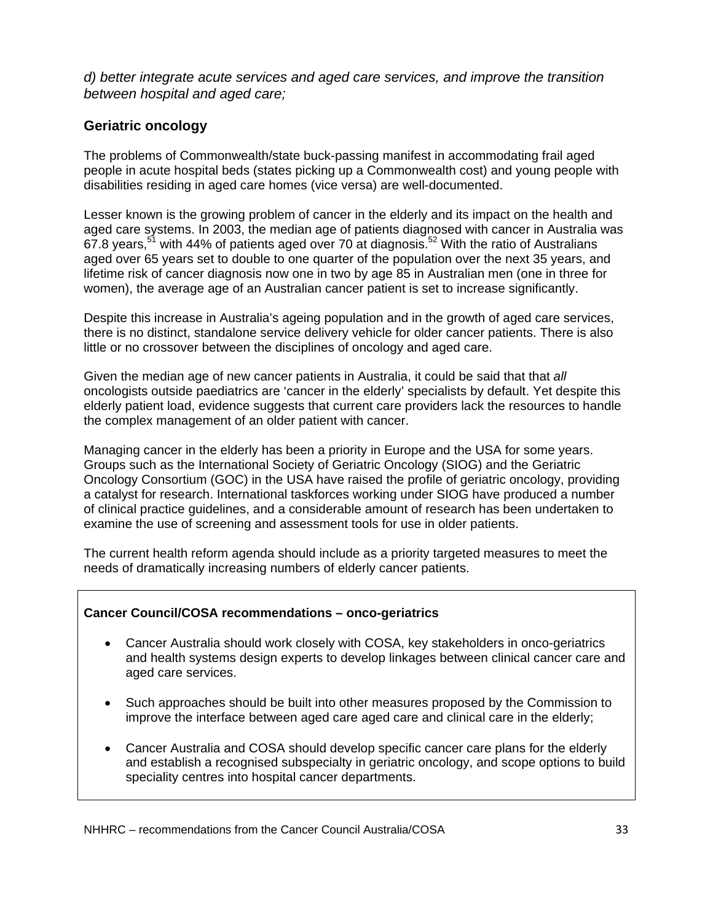*d) better integrate acute services and aged care services, and improve the transition between hospital and aged care;* 

# **Geriatric oncology**

The problems of Commonwealth/state buck-passing manifest in accommodating frail aged people in acute hospital beds (states picking up a Commonwealth cost) and young people with disabilities residing in aged care homes (vice versa) are well-documented.

Lesser known is the growing problem of cancer in the elderly and its impact on the health and aged care systems. In 2003, the median age of patients diagnosed with cancer in Australia was 67.8 years,<sup>51</sup> with 44% of patients aged over 70 at diagnosis.<sup>52</sup> With the ratio of Australians aged over 65 years set to double to one quarter of the population over the next 35 years, and lifetime risk of cancer diagnosis now one in two by age 85 in Australian men (one in three for women), the average age of an Australian cancer patient is set to increase significantly.

Despite this increase in Australia's ageing population and in the growth of aged care services, there is no distinct, standalone service delivery vehicle for older cancer patients. There is also little or no crossover between the disciplines of oncology and aged care.

Given the median age of new cancer patients in Australia, it could be said that that *all*  oncologists outside paediatrics are 'cancer in the elderly' specialists by default. Yet despite this elderly patient load, evidence suggests that current care providers lack the resources to handle the complex management of an older patient with cancer.

Managing cancer in the elderly has been a priority in Europe and the USA for some years. Groups such as the International Society of Geriatric Oncology (SIOG) and the Geriatric Oncology Consortium (GOC) in the USA have raised the profile of geriatric oncology, providing a catalyst for research. International taskforces working under SIOG have produced a number of clinical practice guidelines, and a considerable amount of research has been undertaken to examine the use of screening and assessment tools for use in older patients.

The current health reform agenda should include as a priority targeted measures to meet the needs of dramatically increasing numbers of elderly cancer patients.

### **Cancer Council/COSA recommendations – onco-geriatrics**

- Cancer Australia should work closely with COSA, key stakeholders in onco-geriatrics and health systems design experts to develop linkages between clinical cancer care and aged care services.
- Such approaches should be built into other measures proposed by the Commission to improve the interface between aged care aged care and clinical care in the elderly;
- Cancer Australia and COSA should develop specific cancer care plans for the elderly and establish a recognised subspecialty in geriatric oncology, and scope options to build speciality centres into hospital cancer departments.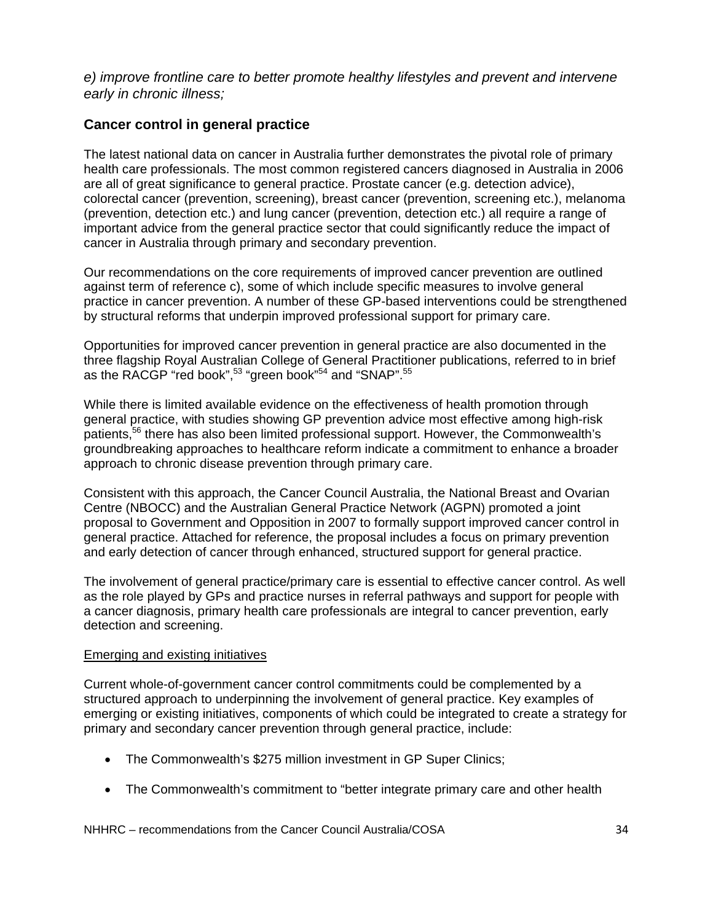*e) improve frontline care to better promote healthy lifestyles and prevent and intervene early in chronic illness;* 

## **Cancer control in general practice**

The latest national data on cancer in Australia further demonstrates the pivotal role of primary health care professionals. The most common registered cancers diagnosed in Australia in 2006 are all of great significance to general practice. Prostate cancer (e.g. detection advice), colorectal cancer (prevention, screening), breast cancer (prevention, screening etc.), melanoma (prevention, detection etc.) and lung cancer (prevention, detection etc.) all require a range of important advice from the general practice sector that could significantly reduce the impact of cancer in Australia through primary and secondary prevention.

Our recommendations on the core requirements of improved cancer prevention are outlined against term of reference c), some of which include specific measures to involve general practice in cancer prevention. A number of these GP-based interventions could be strengthened by structural reforms that underpin improved professional support for primary care.

Opportunities for improved cancer prevention in general practice are also documented in the three flagship Royal Australian College of General Practitioner publications, referred to in brief as the RACGP "red book", $53$  "green book" $54$  and "SNAP".  $55$ 

While there is limited available evidence on the effectiveness of health promotion through general practice, with studies showing GP prevention advice most effective among high-risk patients,<sup>56</sup> there has also been limited professional support. However, the Commonwealth's groundbreaking approaches to healthcare reform indicate a commitment to enhance a broader approach to chronic disease prevention through primary care.

Consistent with this approach, the Cancer Council Australia, the National Breast and Ovarian Centre (NBOCC) and the Australian General Practice Network (AGPN) promoted a joint proposal to Government and Opposition in 2007 to formally support improved cancer control in general practice. Attached for reference, the proposal includes a focus on primary prevention and early detection of cancer through enhanced, structured support for general practice.

The involvement of general practice/primary care is essential to effective cancer control. As well as the role played by GPs and practice nurses in referral pathways and support for people with a cancer diagnosis, primary health care professionals are integral to cancer prevention, early detection and screening.

### Emerging and existing initiatives

Current whole-of-government cancer control commitments could be complemented by a structured approach to underpinning the involvement of general practice. Key examples of emerging or existing initiatives, components of which could be integrated to create a strategy for primary and secondary cancer prevention through general practice, include:

- The Commonwealth's \$275 million investment in GP Super Clinics;
- The Commonwealth's commitment to "better integrate primary care and other health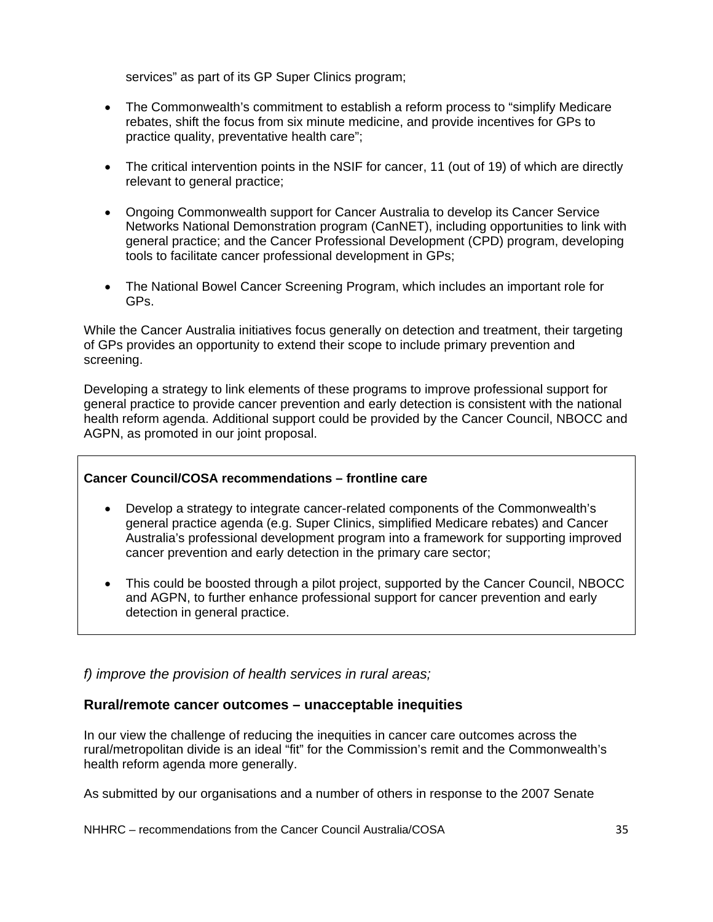services" as part of its GP Super Clinics program;

- The Commonwealth's commitment to establish a reform process to "simplify Medicare rebates, shift the focus from six minute medicine, and provide incentives for GPs to practice quality, preventative health care";
- The critical intervention points in the NSIF for cancer, 11 (out of 19) of which are directly relevant to general practice;
- Ongoing Commonwealth support for Cancer Australia to develop its Cancer Service Networks National Demonstration program (CanNET), including opportunities to link with general practice; and the Cancer Professional Development (CPD) program, developing tools to facilitate cancer professional development in GPs;
- The National Bowel Cancer Screening Program, which includes an important role for GPs.

While the Cancer Australia initiatives focus generally on detection and treatment, their targeting of GPs provides an opportunity to extend their scope to include primary prevention and screening.

Developing a strategy to link elements of these programs to improve professional support for general practice to provide cancer prevention and early detection is consistent with the national health reform agenda. Additional support could be provided by the Cancer Council, NBOCC and AGPN, as promoted in our joint proposal.

### **Cancer Council/COSA recommendations – frontline care**

- Develop a strategy to integrate cancer-related components of the Commonwealth's general practice agenda (e.g. Super Clinics, simplified Medicare rebates) and Cancer Australia's professional development program into a framework for supporting improved cancer prevention and early detection in the primary care sector;
- This could be boosted through a pilot project, supported by the Cancer Council, NBOCC and AGPN, to further enhance professional support for cancer prevention and early detection in general practice.

*f) improve the provision of health services in rural areas;* 

### **Rural/remote cancer outcomes – unacceptable inequities**

In our view the challenge of reducing the inequities in cancer care outcomes across the rural/metropolitan divide is an ideal "fit" for the Commission's remit and the Commonwealth's health reform agenda more generally.

As submitted by our organisations and a number of others in response to the 2007 Senate

NHHRC – recommendations from the Cancer Council Australia/COSA  $35$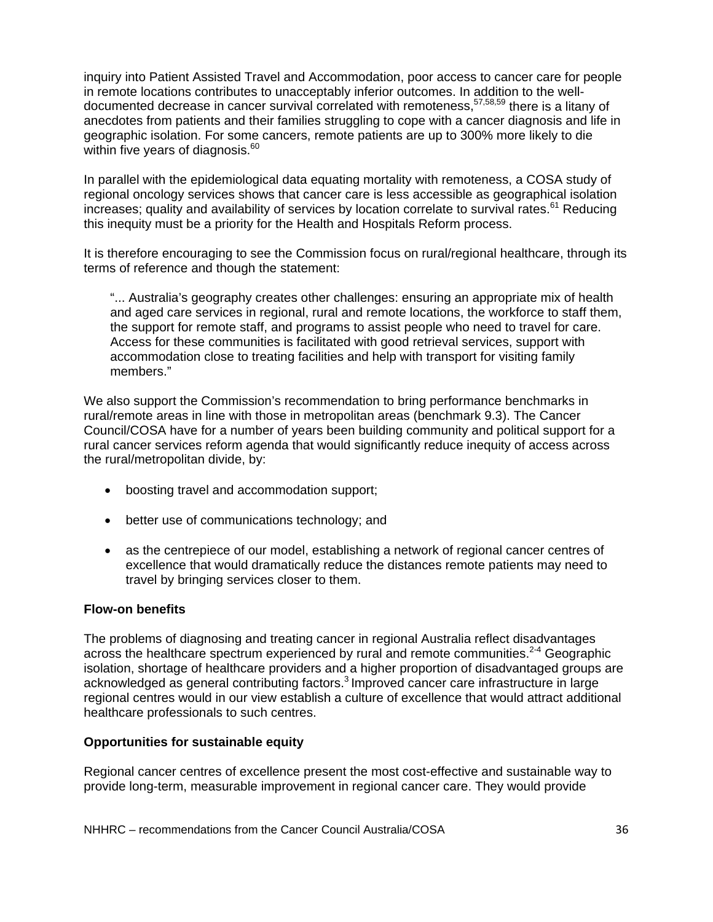inquiry into Patient Assisted Travel and Accommodation, poor access to cancer care for people in remote locations contributes to unacceptably inferior outcomes. In addition to the welldocumented decrease in cancer survival correlated with remoteness,57,58,59 there is a litany of anecdotes from patients and their families struggling to cope with a cancer diagnosis and life in geographic isolation. For some cancers, remote patients are up to 300% more likely to die within five years of diagnosis.<sup>60</sup>

In parallel with the epidemiological data equating mortality with remoteness, a COSA study of regional oncology services shows that cancer care is less accessible as geographical isolation increases; quality and availability of services by location correlate to survival rates.<sup>61</sup> Reducing this inequity must be a priority for the Health and Hospitals Reform process.

It is therefore encouraging to see the Commission focus on rural/regional healthcare, through its terms of reference and though the statement:

"... Australia's geography creates other challenges: ensuring an appropriate mix of health and aged care services in regional, rural and remote locations, the workforce to staff them, the support for remote staff, and programs to assist people who need to travel for care. Access for these communities is facilitated with good retrieval services, support with accommodation close to treating facilities and help with transport for visiting family members."

We also support the Commission's recommendation to bring performance benchmarks in rural/remote areas in line with those in metropolitan areas (benchmark 9.3). The Cancer Council/COSA have for a number of years been building community and political support for a rural cancer services reform agenda that would significantly reduce inequity of access across the rural/metropolitan divide, by:

- boosting travel and accommodation support;
- better use of communications technology; and
- as the centrepiece of our model, establishing a network of regional cancer centres of excellence that would dramatically reduce the distances remote patients may need to travel by bringing services closer to them.

#### **Flow-on benefits**

The problems of diagnosing and treating cancer in regional Australia reflect disadvantages across the healthcare spectrum experienced by rural and remote communities.<sup>2-4</sup> Geographic isolation, shortage of healthcare providers and a higher proportion of disadvantaged groups are acknowledged as general contributing factors.<sup>3</sup> Improved cancer care infrastructure in large regional centres would in our view establish a culture of excellence that would attract additional healthcare professionals to such centres.

#### **Opportunities for sustainable equity**

Regional cancer centres of excellence present the most cost-effective and sustainable way to provide long-term, measurable improvement in regional cancer care. They would provide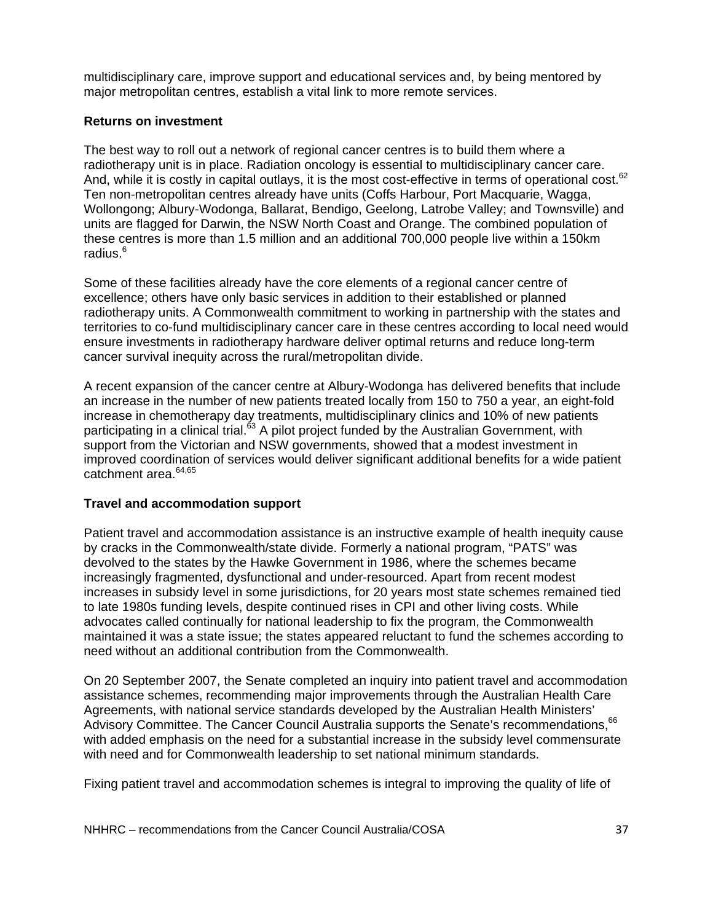multidisciplinary care, improve support and educational services and, by being mentored by major metropolitan centres, establish a vital link to more remote services.

#### **Returns on investment**

The best way to roll out a network of regional cancer centres is to build them where a radiotherapy unit is in place. Radiation oncology is essential to multidisciplinary cancer care. And, while it is costly in capital outlays, it is the most cost-effective in terms of operational cost.<sup>62</sup> Ten non-metropolitan centres already have units (Coffs Harbour, Port Macquarie, Wagga, Wollongong; Albury-Wodonga, Ballarat, Bendigo, Geelong, Latrobe Valley; and Townsville) and units are flagged for Darwin, the NSW North Coast and Orange. The combined population of these centres is more than 1.5 million and an additional 700,000 people live within a 150km radius.<sup>6</sup>

Some of these facilities already have the core elements of a regional cancer centre of excellence; others have only basic services in addition to their established or planned radiotherapy units. A Commonwealth commitment to working in partnership with the states and territories to co-fund multidisciplinary cancer care in these centres according to local need would ensure investments in radiotherapy hardware deliver optimal returns and reduce long-term cancer survival inequity across the rural/metropolitan divide.

A recent expansion of the cancer centre at Albury-Wodonga has delivered benefits that include an increase in the number of new patients treated locally from 150 to 750 a year, an eight-fold increase in chemotherapy day treatments, multidisciplinary clinics and 10% of new patients participating in a clinical trial.<sup>63</sup> A pilot project funded by the Australian Government, with support from the Victorian and NSW governments, showed that a modest investment in improved coordination of services would deliver significant additional benefits for a wide patient catchment area.64,65

### **Travel and accommodation support**

Patient travel and accommodation assistance is an instructive example of health inequity cause by cracks in the Commonwealth/state divide. Formerly a national program, "PATS" was devolved to the states by the Hawke Government in 1986, where the schemes became increasingly fragmented, dysfunctional and under-resourced. Apart from recent modest increases in subsidy level in some jurisdictions, for 20 years most state schemes remained tied to late 1980s funding levels, despite continued rises in CPI and other living costs. While advocates called continually for national leadership to fix the program, the Commonwealth maintained it was a state issue; the states appeared reluctant to fund the schemes according to need without an additional contribution from the Commonwealth.

On 20 September 2007, the Senate completed an inquiry into patient travel and accommodation assistance schemes, recommending major improvements through the Australian Health Care Agreements, with national service standards developed by the Australian Health Ministers' Advisory Committee. The Cancer Council Australia supports the Senate's recommendations, 66 with added emphasis on the need for a substantial increase in the subsidy level commensurate with need and for Commonwealth leadership to set national minimum standards.

Fixing patient travel and accommodation schemes is integral to improving the quality of life of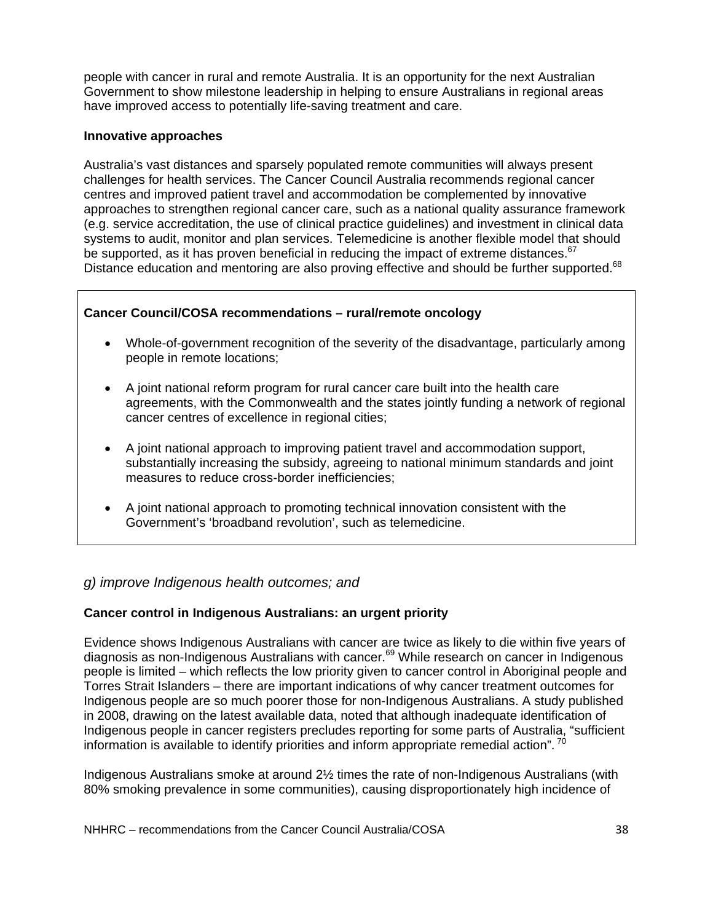people with cancer in rural and remote Australia. It is an opportunity for the next Australian Government to show milestone leadership in helping to ensure Australians in regional areas have improved access to potentially life-saving treatment and care.

#### **Innovative approaches**

Australia's vast distances and sparsely populated remote communities will always present challenges for health services. The Cancer Council Australia recommends regional cancer centres and improved patient travel and accommodation be complemented by innovative approaches to strengthen regional cancer care, such as a national quality assurance framework (e.g. service accreditation, the use of clinical practice guidelines) and investment in clinical data systems to audit, monitor and plan services. Telemedicine is another flexible model that should be supported, as it has proven beneficial in reducing the impact of extreme distances.<sup>67</sup> Distance education and mentoring are also proving effective and should be further supported.<sup>68</sup>

### **Cancer Council/COSA recommendations – rural/remote oncology**

- Whole-of-government recognition of the severity of the disadvantage, particularly among people in remote locations;
- A joint national reform program for rural cancer care built into the health care agreements, with the Commonwealth and the states jointly funding a network of regional cancer centres of excellence in regional cities;
- A joint national approach to improving patient travel and accommodation support, substantially increasing the subsidy, agreeing to national minimum standards and joint measures to reduce cross-border inefficiencies;
- A joint national approach to promoting technical innovation consistent with the Government's 'broadband revolution', such as telemedicine.

### *g) improve Indigenous health outcomes; and*

### **Cancer control in Indigenous Australians: an urgent priority**

Evidence shows Indigenous Australians with cancer are twice as likely to die within five years of diagnosis as non-Indigenous Australians with cancer.<sup>69</sup> While research on cancer in Indigenous people is limited – which reflects the low priority given to cancer control in Aboriginal people and Torres Strait Islanders – there are important indications of why cancer treatment outcomes for Indigenous people are so much poorer those for non-Indigenous Australians. A study published in 2008, drawing on the latest available data, noted that although inadequate identification of Indigenous people in cancer registers precludes reporting for some parts of Australia, "sufficient information is available to identify priorities and inform appropriate remedial action".  $^{70}$ 

Indigenous Australians smoke at around 2½ times the rate of non-Indigenous Australians (with 80% smoking prevalence in some communities), causing disproportionately high incidence of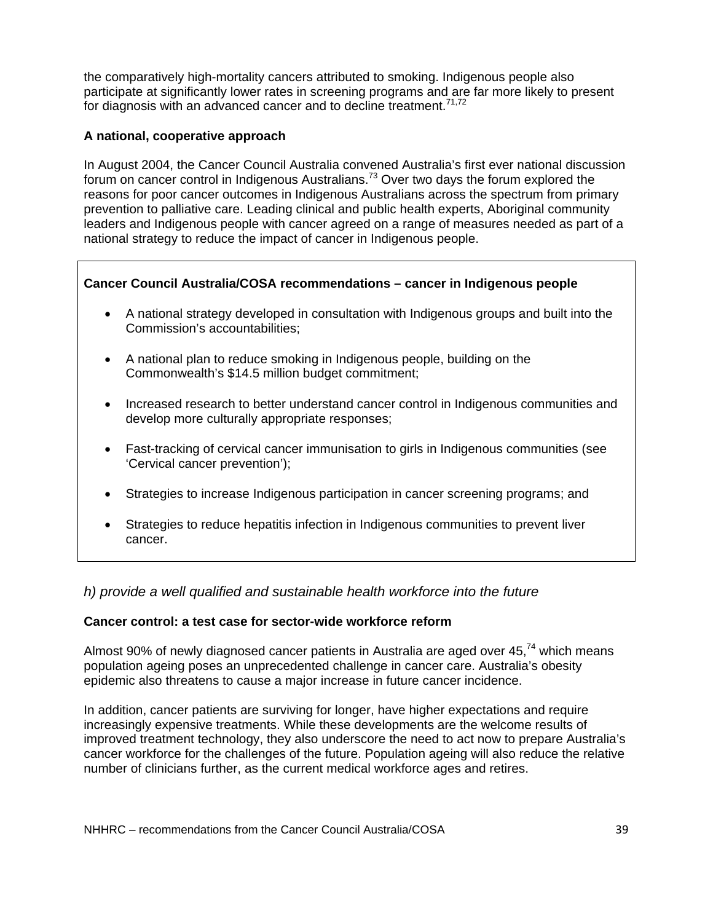the comparatively high-mortality cancers attributed to smoking. Indigenous people also participate at significantly lower rates in screening programs and are far more likely to present for diagnosis with an advanced cancer and to decline treatment.<sup> $71,72$ </sup>

#### **A national, cooperative approach**

In August 2004, the Cancer Council Australia convened Australia's first ever national discussion forum on cancer control in Indigenous Australians.<sup>73</sup> Over two days the forum explored the reasons for poor cancer outcomes in Indigenous Australians across the spectrum from primary prevention to palliative care. Leading clinical and public health experts, Aboriginal community leaders and Indigenous people with cancer agreed on a range of measures needed as part of a national strategy to reduce the impact of cancer in Indigenous people.

### **Cancer Council Australia/COSA recommendations – cancer in Indigenous people**

- A national strategy developed in consultation with Indigenous groups and built into the Commission's accountabilities;
- A national plan to reduce smoking in Indigenous people, building on the Commonwealth's \$14.5 million budget commitment;
- Increased research to better understand cancer control in Indigenous communities and develop more culturally appropriate responses;
- Fast-tracking of cervical cancer immunisation to girls in Indigenous communities (see 'Cervical cancer prevention');
- Strategies to increase Indigenous participation in cancer screening programs; and
- Strategies to reduce hepatitis infection in Indigenous communities to prevent liver cancer.

### *h) provide a well qualified and sustainable health workforce into the future*

#### **Cancer control: a test case for sector-wide workforce reform**

Almost 90% of newly diagnosed cancer patients in Australia are aged over  $45<sup>74</sup>$  which means population ageing poses an unprecedented challenge in cancer care. Australia's obesity epidemic also threatens to cause a major increase in future cancer incidence.

In addition, cancer patients are surviving for longer, have higher expectations and require increasingly expensive treatments. While these developments are the welcome results of improved treatment technology, they also underscore the need to act now to prepare Australia's cancer workforce for the challenges of the future. Population ageing will also reduce the relative number of clinicians further, as the current medical workforce ages and retires.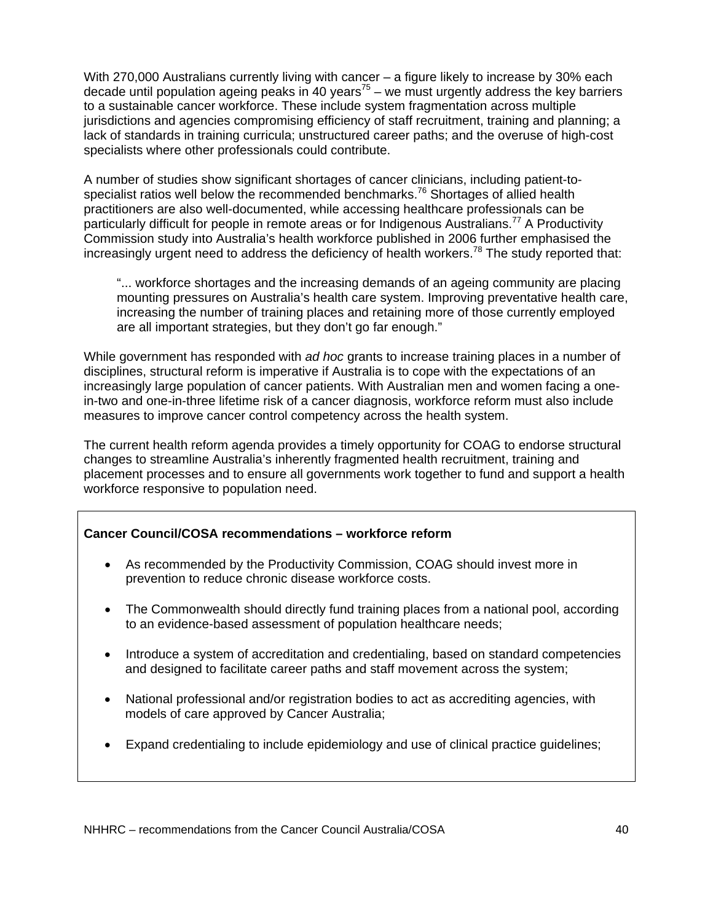With 270,000 Australians currently living with cancer – a figure likely to increase by 30% each decade until population ageing peaks in 40 years<sup>75</sup> – we must urgently address the key barriers to a sustainable cancer workforce. These include system fragmentation across multiple jurisdictions and agencies compromising efficiency of staff recruitment, training and planning; a lack of standards in training curricula; unstructured career paths; and the overuse of high-cost specialists where other professionals could contribute.

A number of studies show significant shortages of cancer clinicians, including patient-tospecialist ratios well below the recommended benchmarks.<sup>76</sup> Shortages of allied health practitioners are also well-documented, while accessing healthcare professionals can be particularly difficult for people in remote areas or for Indigenous Australians.<sup>77</sup> A Productivity Commission study into Australia's health workforce published in 2006 further emphasised the increasingly urgent need to address the deficiency of health workers.<sup>78</sup> The study reported that:

"... workforce shortages and the increasing demands of an ageing community are placing mounting pressures on Australia's health care system. Improving preventative health care, increasing the number of training places and retaining more of those currently employed are all important strategies, but they don't go far enough."

While government has responded with *ad hoc* grants to increase training places in a number of disciplines, structural reform is imperative if Australia is to cope with the expectations of an increasingly large population of cancer patients. With Australian men and women facing a onein-two and one-in-three lifetime risk of a cancer diagnosis, workforce reform must also include measures to improve cancer control competency across the health system.

The current health reform agenda provides a timely opportunity for COAG to endorse structural changes to streamline Australia's inherently fragmented health recruitment, training and placement processes and to ensure all governments work together to fund and support a health workforce responsive to population need.

### **Cancer Council/COSA recommendations – workforce reform**

- As recommended by the Productivity Commission, COAG should invest more in prevention to reduce chronic disease workforce costs.
- The Commonwealth should directly fund training places from a national pool, according to an evidence-based assessment of population healthcare needs;
- Introduce a system of accreditation and credentialing, based on standard competencies and designed to facilitate career paths and staff movement across the system;
- National professional and/or registration bodies to act as accrediting agencies, with models of care approved by Cancer Australia;
- Expand credentialing to include epidemiology and use of clinical practice guidelines;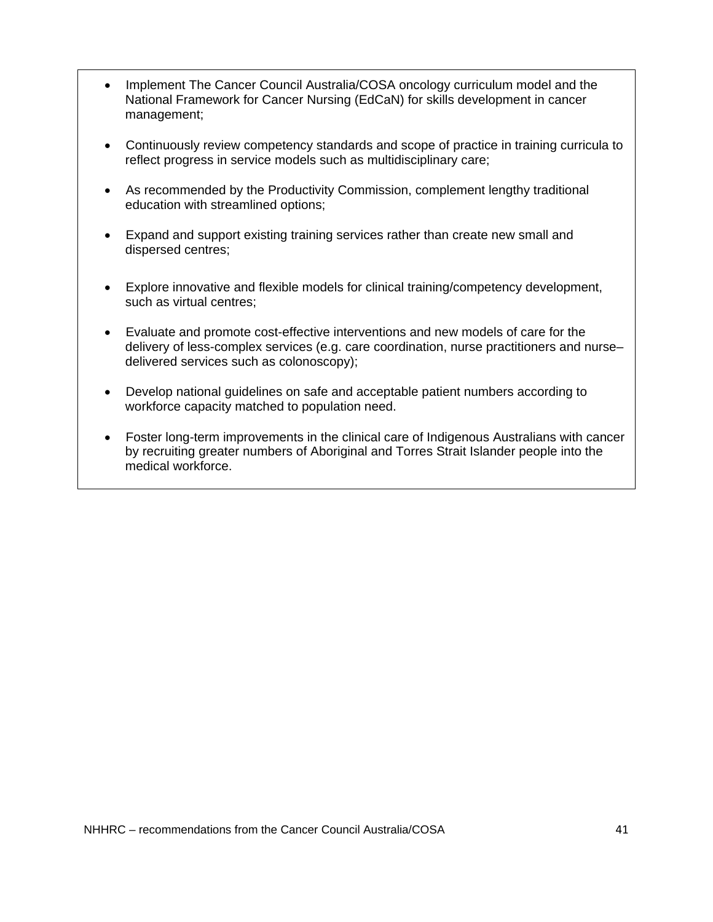- Implement The Cancer Council Australia/COSA oncology curriculum model and the National Framework for Cancer Nursing (EdCaN) for skills development in cancer management;
- Continuously review competency standards and scope of practice in training curricula to reflect progress in service models such as multidisciplinary care;
- As recommended by the Productivity Commission, complement lengthy traditional education with streamlined options;
- Expand and support existing training services rather than create new small and dispersed centres;
- Explore innovative and flexible models for clinical training/competency development, such as virtual centres;
- Evaluate and promote cost-effective interventions and new models of care for the delivery of less-complex services (e.g. care coordination, nurse practitioners and nurse– delivered services such as colonoscopy);
- Develop national guidelines on safe and acceptable patient numbers according to workforce capacity matched to population need.
- Foster long-term improvements in the clinical care of Indigenous Australians with cancer by recruiting greater numbers of Aboriginal and Torres Strait Islander people into the medical workforce.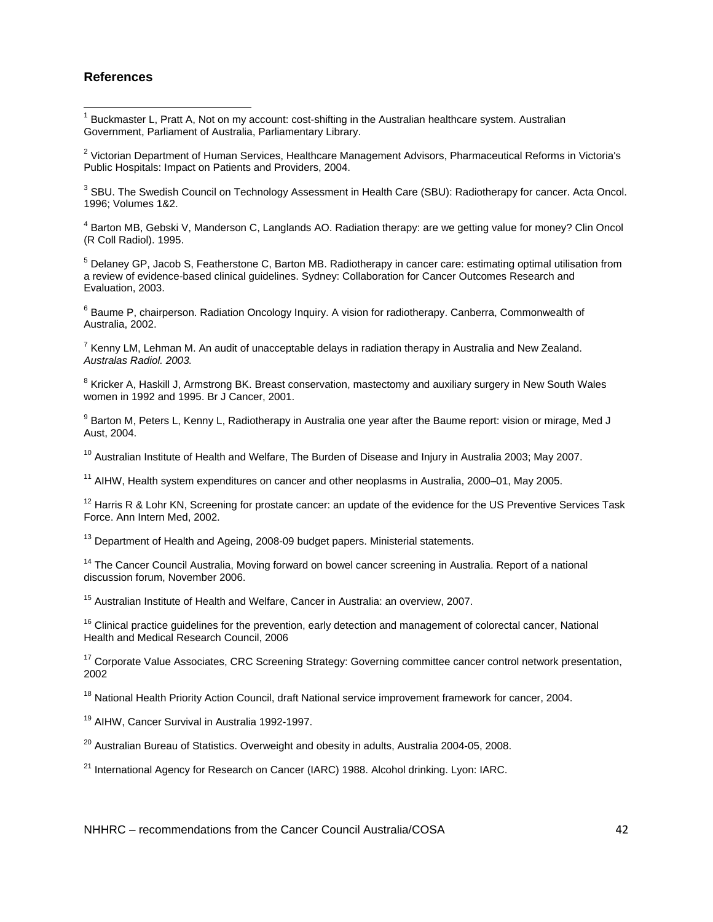#### **References**

 1 Buckmaster L, Pratt A, Not on my account: cost-shifting in the Australian healthcare system. Australian Government, Parliament of Australia, Parliamentary Library.

<sup>2</sup> Victorian Department of Human Services, Healthcare Management Advisors, Pharmaceutical Reforms in Victoria's Public Hospitals: Impact on Patients and Providers, 2004.

 $3$  SBU. The Swedish Council on Technology Assessment in Health Care (SBU): Radiotherapy for cancer. Acta Oncol. 1996; Volumes 1&2.

<sup>4</sup> Barton MB, Gebski V, Manderson C, Langlands AO. Radiation therapy: are we getting value for money? Clin Oncol (R Coll Radiol). 1995.

<sup>5</sup> Delaney GP, Jacob S, Featherstone C, Barton MB. Radiotherapy in cancer care: estimating optimal utilisation from a review of evidence-based clinical guidelines. Sydney: Collaboration for Cancer Outcomes Research and Evaluation, 2003.

<sup>6</sup> Baume P, chairperson. Radiation Oncology Inquiry. A vision for radiotherapy. Canberra, Commonwealth of Australia, 2002.

 $^7$  Kenny LM, Lehman M. An audit of unacceptable delays in radiation therapy in Australia and New Zealand. *Australas Radiol. 2003.*

 $^8$  Kricker A, Haskill J, Armstrong BK. Breast conservation, mastectomy and auxiliary surgery in New South Wales women in 1992 and 1995. Br J Cancer, 2001.

<sup>9</sup> Barton M, Peters L, Kenny L, Radiotherapy in Australia one year after the Baume report: vision or mirage, Med J Aust, 2004.

 $10$  Australian Institute of Health and Welfare, The Burden of Disease and Injury in Australia 2003; May 2007.

 $11$  AIHW, Health system expenditures on cancer and other neoplasms in Australia, 2000–01, May 2005.

 $12$  Harris R & Lohr KN, Screening for prostate cancer: an update of the evidence for the US Preventive Services Task Force. Ann Intern Med, 2002.

 $13$  Department of Health and Ageing, 2008-09 budget papers. Ministerial statements.

<sup>14</sup> The Cancer Council Australia, Moving forward on bowel cancer screening in Australia. Report of a national discussion forum, November 2006.

<sup>15</sup> Australian Institute of Health and Welfare, Cancer in Australia: an overview, 2007.

<sup>16</sup> Clinical practice guidelines for the prevention, early detection and management of colorectal cancer, National Health and Medical Research Council, 2006

<sup>17</sup> Corporate Value Associates, CRC Screening Strategy: Governing committee cancer control network presentation, 2002

<sup>18</sup> National Health Priority Action Council, draft National service improvement framework for cancer, 2004.

<sup>19</sup> AIHW, Cancer Survival in Australia 1992-1997.

 $20$  Australian Bureau of Statistics. Overweight and obesity in adults, Australia 2004-05, 2008.

<sup>21</sup> International Agency for Research on Cancer (IARC) 1988. Alcohol drinking. Lyon: IARC.

NHHRC – recommendations from the Cancer Council Australia/COSA  $\sim$  42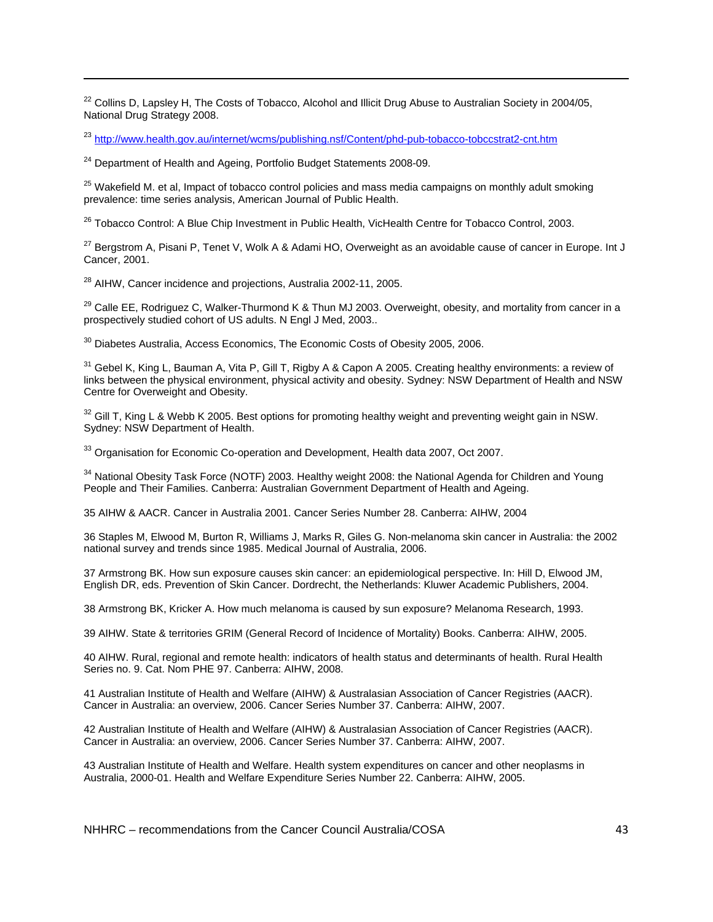<sup>22</sup> Collins D, Lapsley H, The Costs of Tobacco, Alcohol and Illicit Drug Abuse to Australian Society in 2004/05, National Drug Strategy 2008.

<u> 1989 - Johann Stoff, amerikansk politiker (d. 1989)</u>

<sup>23</sup> http://www.health.gov.au/internet/wcms/publishing.nsf/Content/phd-pub-tobacco-tobccstrat2-cnt.htm

<sup>24</sup> Department of Health and Ageing, Portfolio Budget Statements 2008-09.

<sup>25</sup> Wakefield M. et al, Impact of tobacco control policies and mass media campaigns on monthly adult smoking prevalence: time series analysis, American Journal of Public Health.

<sup>26</sup> Tobacco Control: A Blue Chip Investment in Public Health, VicHealth Centre for Tobacco Control, 2003.

 $^{27}$  Bergstrom A, Pisani P, Tenet V, Wolk A & Adami HO, Overweight as an avoidable cause of cancer in Europe. Int J Cancer, 2001.

<sup>28</sup> AIHW, Cancer incidence and projections, Australia 2002-11, 2005.

<sup>29</sup> Calle EE, Rodriguez C, Walker-Thurmond K & Thun MJ 2003. Overweight, obesity, and mortality from cancer in a prospectively studied cohort of US adults. N Engl J Med, 2003..

<sup>30</sup> Diabetes Australia, Access Economics, The Economic Costs of Obesity 2005, 2006.

<sup>31</sup> Gebel K, King L, Bauman A, Vita P, Gill T, Rigby A & Capon A 2005. Creating healthy environments: a review of links between the physical environment, physical activity and obesity. Sydney: NSW Department of Health and NSW Centre for Overweight and Obesity.

 $32$  Gill T, King L & Webb K 2005. Best options for promoting healthy weight and preventing weight gain in NSW. Sydney: NSW Department of Health.

<sup>33</sup> Organisation for Economic Co-operation and Development, Health data 2007, Oct 2007.

<sup>34</sup> National Obesity Task Force (NOTF) 2003. Healthy weight 2008: the National Agenda for Children and Young People and Their Families. Canberra: Australian Government Department of Health and Ageing.

35 AIHW & AACR. Cancer in Australia 2001. Cancer Series Number 28. Canberra: AIHW, 2004

36 Staples M, Elwood M, Burton R, Williams J, Marks R, Giles G. Non-melanoma skin cancer in Australia: the 2002 national survey and trends since 1985. Medical Journal of Australia, 2006.

37 Armstrong BK. How sun exposure causes skin cancer: an epidemiological perspective. In: Hill D, Elwood JM, English DR, eds. Prevention of Skin Cancer. Dordrecht, the Netherlands: Kluwer Academic Publishers, 2004.

38 Armstrong BK, Kricker A. How much melanoma is caused by sun exposure? Melanoma Research, 1993.

39 AIHW. State & territories GRIM (General Record of Incidence of Mortality) Books. Canberra: AIHW, 2005.

40 AIHW. Rural, regional and remote health: indicators of health status and determinants of health. Rural Health Series no. 9. Cat. Nom PHE 97. Canberra: AIHW, 2008.

41 Australian Institute of Health and Welfare (AIHW) & Australasian Association of Cancer Registries (AACR). Cancer in Australia: an overview, 2006. Cancer Series Number 37. Canberra: AIHW, 2007.

42 Australian Institute of Health and Welfare (AIHW) & Australasian Association of Cancer Registries (AACR). Cancer in Australia: an overview, 2006. Cancer Series Number 37. Canberra: AIHW, 2007.

43 Australian Institute of Health and Welfare. Health system expenditures on cancer and other neoplasms in Australia, 2000-01. Health and Welfare Expenditure Series Number 22. Canberra: AIHW, 2005.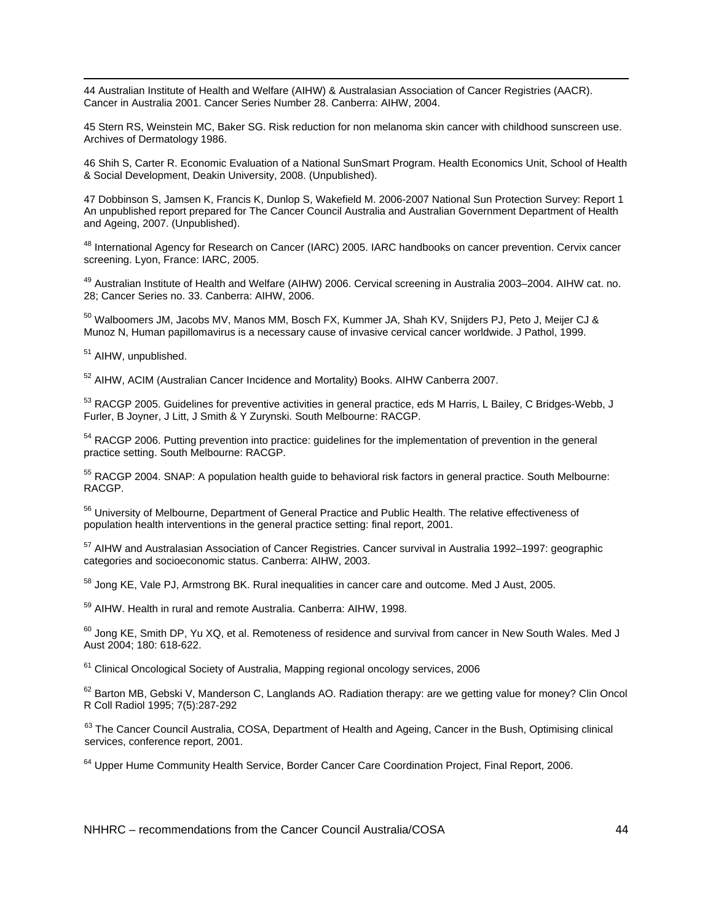<u> 1989 - Johann Stoff, amerikansk politiker (d. 1989)</u> 44 Australian Institute of Health and Welfare (AIHW) & Australasian Association of Cancer Registries (AACR). Cancer in Australia 2001. Cancer Series Number 28. Canberra: AIHW, 2004.

45 Stern RS, Weinstein MC, Baker SG. Risk reduction for non melanoma skin cancer with childhood sunscreen use. Archives of Dermatology 1986.

46 Shih S, Carter R. Economic Evaluation of a National SunSmart Program. Health Economics Unit, School of Health & Social Development, Deakin University, 2008. (Unpublished).

47 Dobbinson S, Jamsen K, Francis K, Dunlop S, Wakefield M. 2006-2007 National Sun Protection Survey: Report 1 An unpublished report prepared for The Cancer Council Australia and Australian Government Department of Health and Ageing, 2007. (Unpublished).

48 International Agency for Research on Cancer (IARC) 2005. IARC handbooks on cancer prevention. Cervix cancer screening. Lyon, France: IARC, 2005.

<sup>49</sup> Australian Institute of Health and Welfare (AIHW) 2006. Cervical screening in Australia 2003–2004. AIHW cat. no. 28; Cancer Series no. 33. Canberra: AIHW, 2006.

50 Walboomers JM, Jacobs MV, Manos MM, Bosch FX, Kummer JA, Shah KV, Snijders PJ, Peto J, Meijer CJ & Munoz N, Human papillomavirus is a necessary cause of invasive cervical cancer worldwide. J Pathol, 1999.

51 AIHW, unpublished.

<sup>52</sup> AIHW, ACIM (Australian Cancer Incidence and Mortality) Books. AIHW Canberra 2007.

53 RACGP 2005. Guidelines for preventive activities in general practice, eds M Harris, L Bailey, C Bridges-Webb, J Furler, B Joyner, J Litt, J Smith & Y Zurynski. South Melbourne: RACGP.

<sup>54</sup> RACGP 2006. Putting prevention into practice: guidelines for the implementation of prevention in the general practice setting. South Melbourne: RACGP.

<sup>55</sup> RACGP 2004. SNAP: A population health guide to behavioral risk factors in general practice. South Melbourne: RACGP.

56 University of Melbourne, Department of General Practice and Public Health. The relative effectiveness of population health interventions in the general practice setting: final report, 2001.

57 AIHW and Australasian Association of Cancer Registries. Cancer survival in Australia 1992–1997: geographic categories and socioeconomic status. Canberra: AIHW, 2003.

<sup>58</sup> Jong KE, Vale PJ, Armstrong BK, Rural inequalities in cancer care and outcome. Med J Aust, 2005.

59 AIHW. Health in rural and remote Australia. Canberra: AIHW, 1998.

<sup>60</sup> Jong KE, Smith DP, Yu XQ, et al. Remoteness of residence and survival from cancer in New South Wales. Med J Aust 2004; 180: 618-622.

<sup>61</sup> Clinical Oncological Society of Australia, Mapping regional oncology services, 2006

 $62$  Barton MB, Gebski V, Manderson C, Langlands AO. Radiation therapy: are we getting value for money? Clin Oncol R Coll Radiol 1995; 7(5):287-292

63 The Cancer Council Australia, COSA, Department of Health and Ageing, Cancer in the Bush, Optimising clinical services, conference report, 2001.

 $64$  Upper Hume Community Health Service, Border Cancer Care Coordination Project, Final Report, 2006.